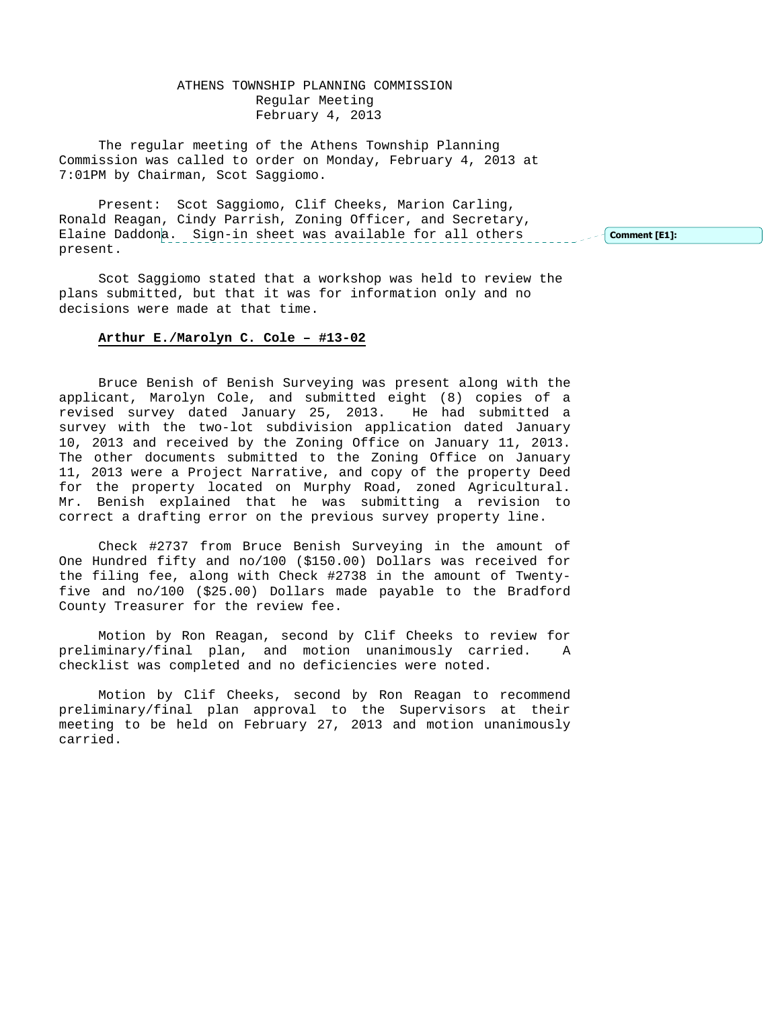# ATHENS TOWNSHIP PLANNING COMMISSION Regular Meeting February 4, 2013

The regular meeting of the Athens Township Planning Commission was called to order on Monday, February 4, 2013 at 7:01PM by Chairman, Scot Saggiomo.

Present: Scot Saggiomo, Clif Cheeks, Marion Carling, Ronald Reagan, Cindy Parrish, Zoning Officer, and Secretary, Elaine Daddona. Sign-in sheet was available for all others present. Comment [E1]:

Scot Saggiomo stated that a workshop was held to review the plans submitted, but that it was for information only and no decisions were made at that time.

## **Arthur E./Marolyn C. Cole – #13-02**

 Bruce Benish of Benish Surveying was present along with the applicant, Marolyn Cole, and submitted eight (8) copies of a revised survey dated January 25, 2013. He had submitted a survey with the two-lot subdivision application dated January 10, 2013 and received by the Zoning Office on January 11, 2013. The other documents submitted to the Zoning Office on January 11, 2013 were a Project Narrative, and copy of the property Deed for the property located on Murphy Road, zoned Agricultural. Mr. Benish explained that he was submitting a revision to correct a drafting error on the previous survey property line.

 Check #2737 from Bruce Benish Surveying in the amount of One Hundred fifty and no/100 (\$150.00) Dollars was received for the filing fee, along with Check #2738 in the amount of Twentyfive and no/100 (\$25.00) Dollars made payable to the Bradford County Treasurer for the review fee.

 Motion by Ron Reagan, second by Clif Cheeks to review for preliminary/final plan, and motion unanimously carried. A checklist was completed and no deficiencies were noted.

 Motion by Clif Cheeks, second by Ron Reagan to recommend preliminary/final plan approval to the Supervisors at their meeting to be held on February 27, 2013 and motion unanimously carried.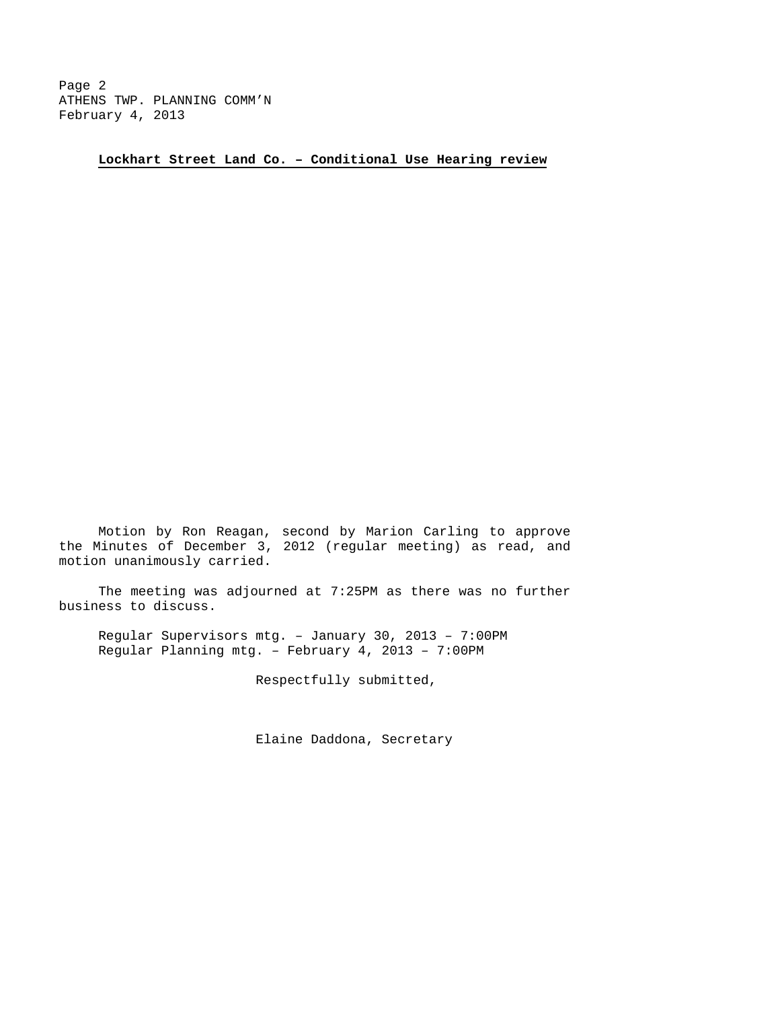Page 2 ATHENS TWP. PLANNING COMM'N February 4, 2013

**Lockhart Street Land Co. – Conditional Use Hearing review**

 Motion by Ron Reagan, second by Marion Carling to approve the Minutes of December 3, 2012 (regular meeting) as read, and motion unanimously carried.

 The meeting was adjourned at 7:25PM as there was no further business to discuss.

Regular Supervisors mtg. – January 30, 2013 – 7:00PM Regular Planning mtg. – February 4, 2013 – 7:00PM

Respectfully submitted,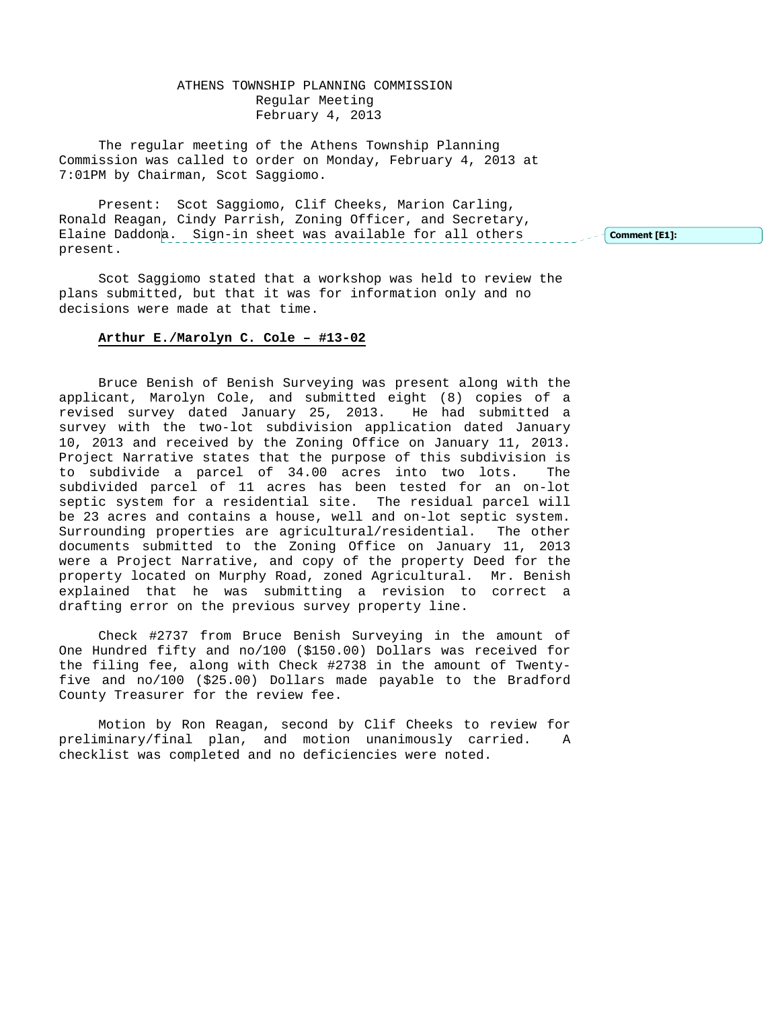# ATHENS TOWNSHIP PLANNING COMMISSION Regular Meeting February 4, 2013

The regular meeting of the Athens Township Planning Commission was called to order on Monday, February 4, 2013 at 7:01PM by Chairman, Scot Saggiomo.

Present: Scot Saggiomo, Clif Cheeks, Marion Carling, Ronald Reagan, Cindy Parrish, Zoning Officer, and Secretary, Elaine Daddona. Sign-in sheet was available for all others present. Comment [E1]:

Scot Saggiomo stated that a workshop was held to review the plans submitted, but that it was for information only and no decisions were made at that time.

## **Arthur E./Marolyn C. Cole – #13-02**

 Bruce Benish of Benish Surveying was present along with the applicant, Marolyn Cole, and submitted eight (8) copies of a revised survey dated January 25, 2013. He had submitted a survey with the two-lot subdivision application dated January 10, 2013 and received by the Zoning Office on January 11, 2013. Project Narrative states that the purpose of this subdivision is to subdivide a parcel of 34.00 acres into two lots. The subdivided parcel of 11 acres has been tested for an on-lot septic system for a residential site. The residual parcel will be 23 acres and contains a house, well and on-lot septic system. Surrounding properties are agricultural/residential. The other documents submitted to the Zoning Office on January 11, 2013 were a Project Narrative, and copy of the property Deed for the property located on Murphy Road, zoned Agricultural. Mr. Benish explained that he was submitting a revision to correct a drafting error on the previous survey property line.

 Check #2737 from Bruce Benish Surveying in the amount of One Hundred fifty and no/100 (\$150.00) Dollars was received for the filing fee, along with Check #2738 in the amount of Twentyfive and no/100 (\$25.00) Dollars made payable to the Bradford County Treasurer for the review fee.

 Motion by Ron Reagan, second by Clif Cheeks to review for preliminary/final plan, and motion unanimously carried. A checklist was completed and no deficiencies were noted.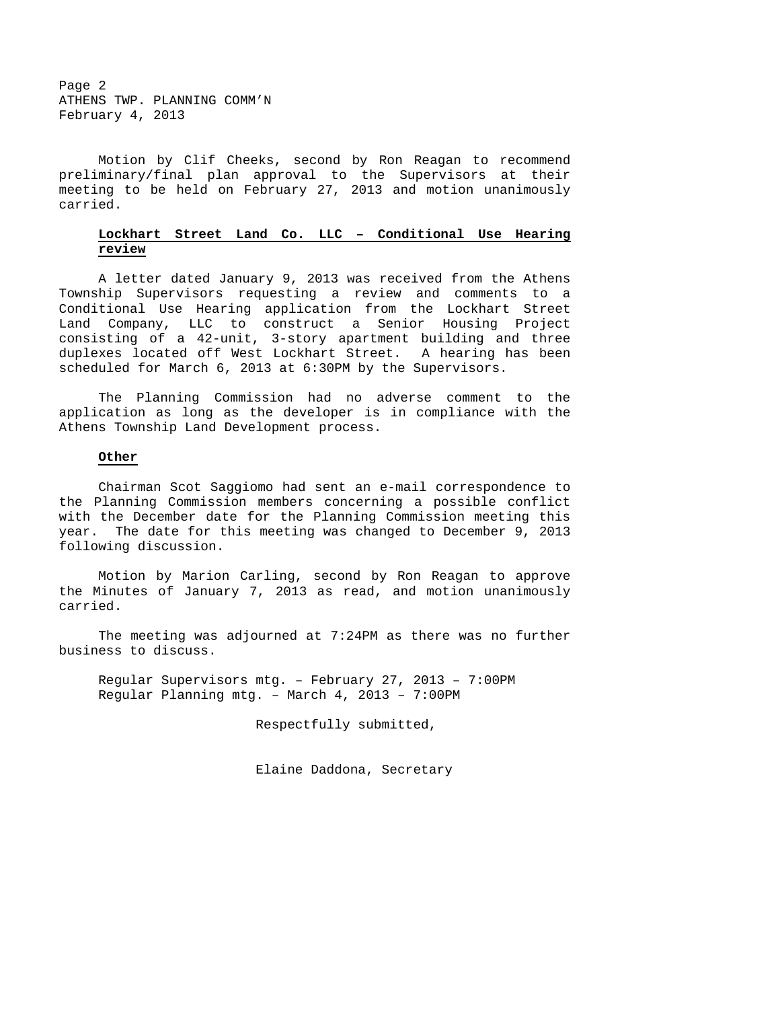Page 2 ATHENS TWP. PLANNING COMM'N February 4, 2013

 Motion by Clif Cheeks, second by Ron Reagan to recommend preliminary/final plan approval to the Supervisors at their meeting to be held on February 27, 2013 and motion unanimously carried.

# **Lockhart Street Land Co. LLC – Conditional Use Hearing review**

 A letter dated January 9, 2013 was received from the Athens Township Supervisors requesting a review and comments to a Conditional Use Hearing application from the Lockhart Street Land Company, LLC to construct a Senior Housing Project consisting of a 42-unit, 3-story apartment building and three duplexes located off West Lockhart Street. A hearing has been scheduled for March 6, 2013 at 6:30PM by the Supervisors.

 The Planning Commission had no adverse comment to the application as long as the developer is in compliance with the Athens Township Land Development process.

#### **Other**

 Chairman Scot Saggiomo had sent an e-mail correspondence to the Planning Commission members concerning a possible conflict with the December date for the Planning Commission meeting this year. The date for this meeting was changed to December 9, 2013 following discussion.

 Motion by Marion Carling, second by Ron Reagan to approve the Minutes of January 7, 2013 as read, and motion unanimously carried.

 The meeting was adjourned at 7:24PM as there was no further business to discuss.

Regular Supervisors mtg. – February 27, 2013 – 7:00PM Regular Planning mtg. – March 4, 2013 – 7:00PM

Respectfully submitted,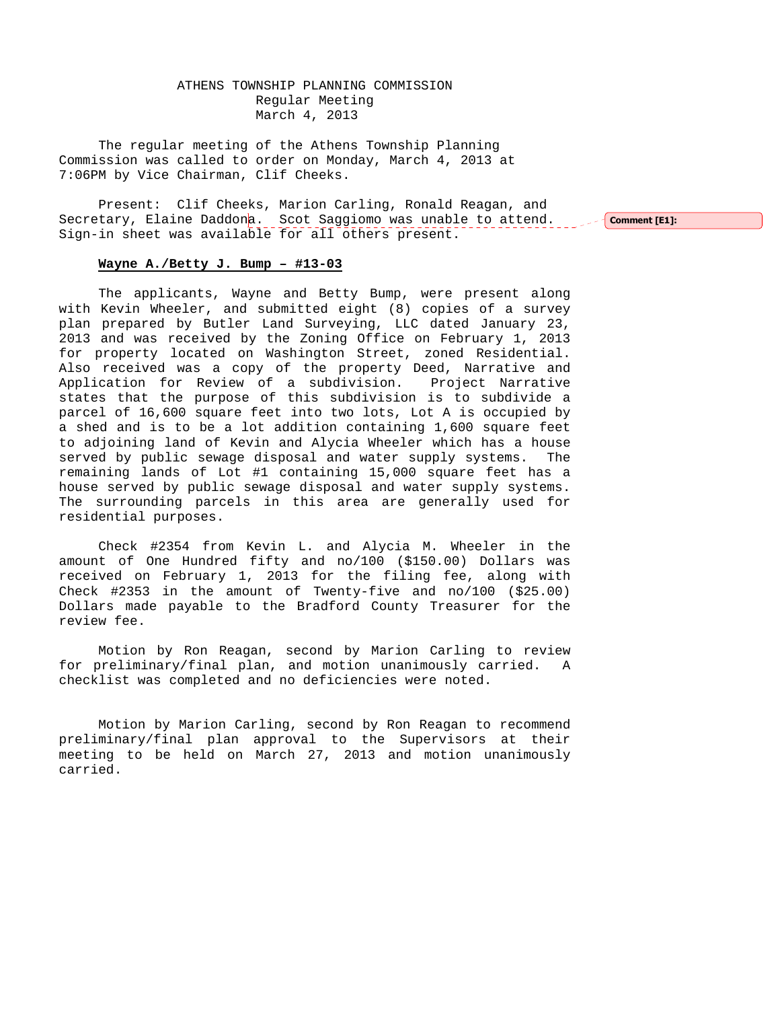ATHENS TOWNSHIP PLANNING COMMISSION Regular Meeting March 4, 2013

The regular meeting of the Athens Township Planning Commission was called to order on Monday, March 4, 2013 at 7:06PM by Vice Chairman, Clif Cheeks.

Present: Clif Cheeks, Marion Carling, Ronald Reagan, and Secretary, Elaine Daddona. Scot Saggiomo was unable to attend. Sign-in sheet was available for all others present.

 $\sim$  Comment [E1]:

#### **Wayne A./Betty J. Bump – #13-03**

 The applicants, Wayne and Betty Bump, were present along with Kevin Wheeler, and submitted eight (8) copies of a survey plan prepared by Butler Land Surveying, LLC dated January 23, 2013 and was received by the Zoning Office on February 1, 2013 for property located on Washington Street, zoned Residential. Also received was a copy of the property Deed, Narrative and Application for Review of a subdivision. Project Narrative states that the purpose of this subdivision is to subdivide a parcel of 16,600 square feet into two lots, Lot A is occupied by a shed and is to be a lot addition containing 1,600 square feet to adjoining land of Kevin and Alycia Wheeler which has a house served by public sewage disposal and water supply systems. The remaining lands of Lot #1 containing 15,000 square feet has a house served by public sewage disposal and water supply systems. The surrounding parcels in this area are generally used for residential purposes.

 Check #2354 from Kevin L. and Alycia M. Wheeler in the amount of One Hundred fifty and no/100 (\$150.00) Dollars was received on February 1, 2013 for the filing fee, along with Check #2353 in the amount of Twenty-five and no/100 (\$25.00) Dollars made payable to the Bradford County Treasurer for the review fee.

 Motion by Ron Reagan, second by Marion Carling to review for preliminary/final plan, and motion unanimously carried. A checklist was completed and no deficiencies were noted.

 Motion by Marion Carling, second by Ron Reagan to recommend preliminary/final plan approval to the Supervisors at their meeting to be held on March 27, 2013 and motion unanimously carried.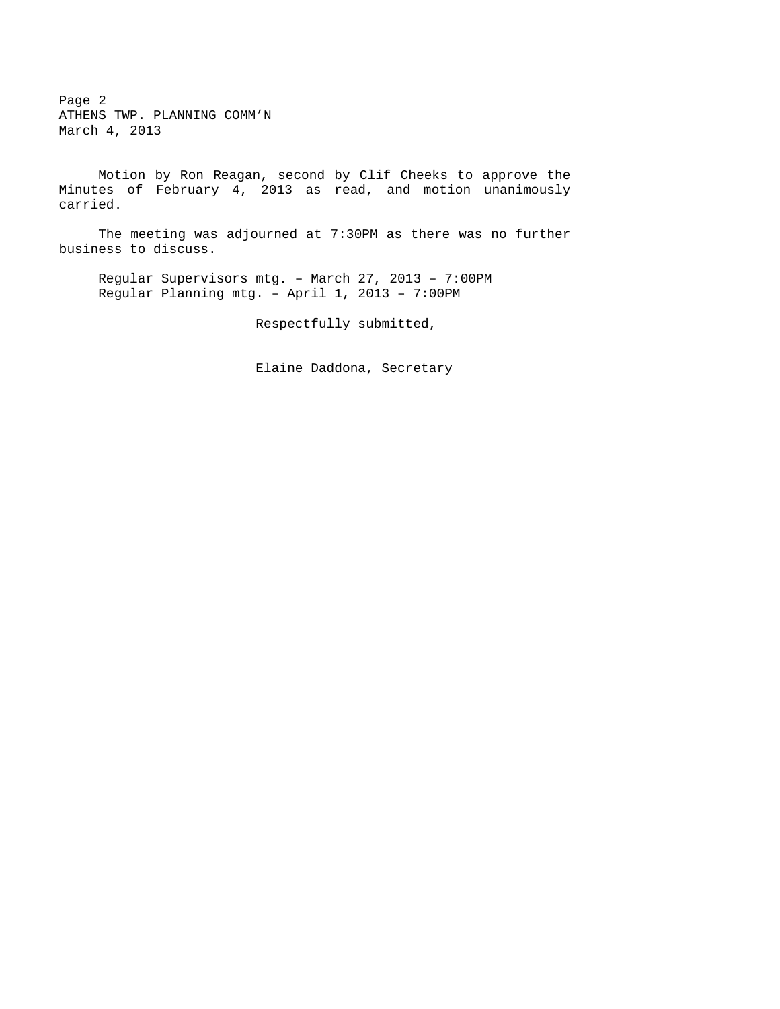Page 2 ATHENS TWP. PLANNING COMM'N March 4, 2013

 Motion by Ron Reagan, second by Clif Cheeks to approve the Minutes of February 4, 2013 as read, and motion unanimously carried.

 The meeting was adjourned at 7:30PM as there was no further business to discuss.

Regular Supervisors mtg. – March 27, 2013 – 7:00PM Regular Planning mtg. – April 1, 2013 – 7:00PM

Respectfully submitted,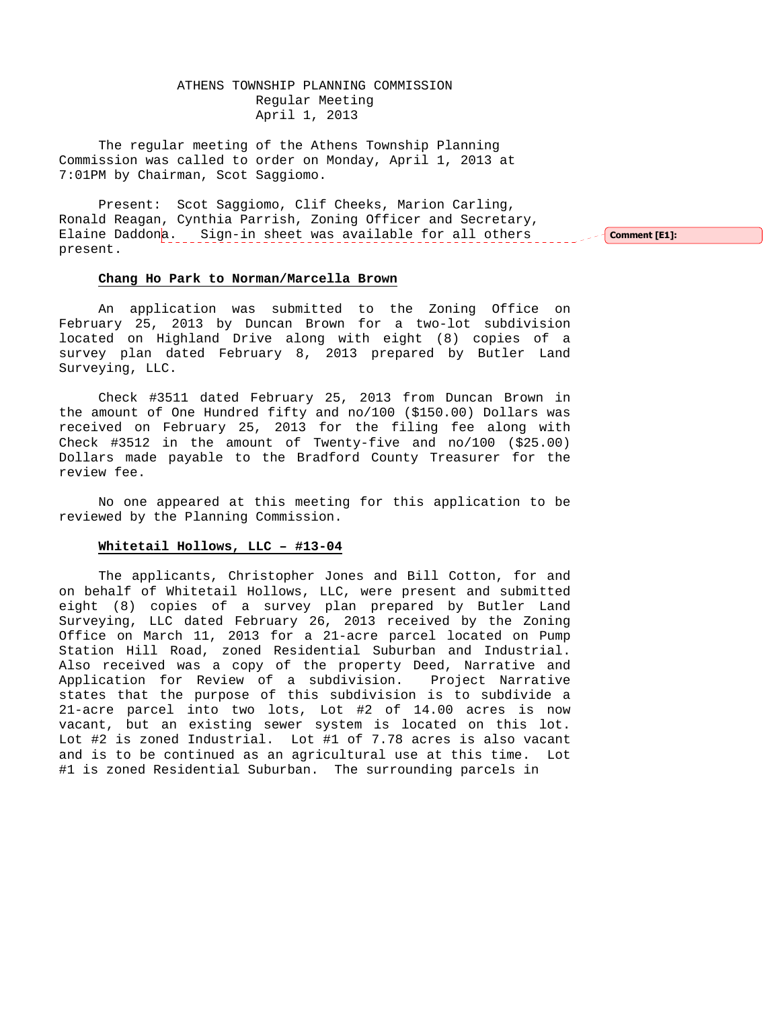# ATHENS TOWNSHIP PLANNING COMMISSION Regular Meeting April 1, 2013

The regular meeting of the Athens Township Planning Commission was called to order on Monday, April 1, 2013 at 7:01PM by Chairman, Scot Saggiomo.

Present: Scot Saggiomo, Clif Cheeks, Marion Carling, Ronald Reagan, Cynthia Parrish, Zoning Officer and Secretary, Elaine Daddona. Sign-in sheet was available for all others present. Comment [E1]:

#### **Chang Ho Park to Norman/Marcella Brown**

 An application was submitted to the Zoning Office on February 25, 2013 by Duncan Brown for a two-lot subdivision located on Highland Drive along with eight (8) copies of a survey plan dated February 8, 2013 prepared by Butler Land Surveying, LLC.

 Check #3511 dated February 25, 2013 from Duncan Brown in the amount of One Hundred fifty and no/100 (\$150.00) Dollars was received on February 25, 2013 for the filing fee along with Check #3512 in the amount of Twenty-five and no/100 (\$25.00) Dollars made payable to the Bradford County Treasurer for the review fee.

 No one appeared at this meeting for this application to be reviewed by the Planning Commission.

#### **Whitetail Hollows, LLC – #13-04**

 The applicants, Christopher Jones and Bill Cotton, for and on behalf of Whitetail Hollows, LLC, were present and submitted eight (8) copies of a survey plan prepared by Butler Land Surveying, LLC dated February 26, 2013 received by the Zoning Office on March 11, 2013 for a 21-acre parcel located on Pump Station Hill Road, zoned Residential Suburban and Industrial. Also received was a copy of the property Deed, Narrative and Application for Review of a subdivision. Project Narrative states that the purpose of this subdivision is to subdivide a 21-acre parcel into two lots, Lot #2 of 14.00 acres is now vacant, but an existing sewer system is located on this lot. Lot #2 is zoned Industrial. Lot #1 of 7.78 acres is also vacant and is to be continued as an agricultural use at this time. Lot #1 is zoned Residential Suburban. The surrounding parcels in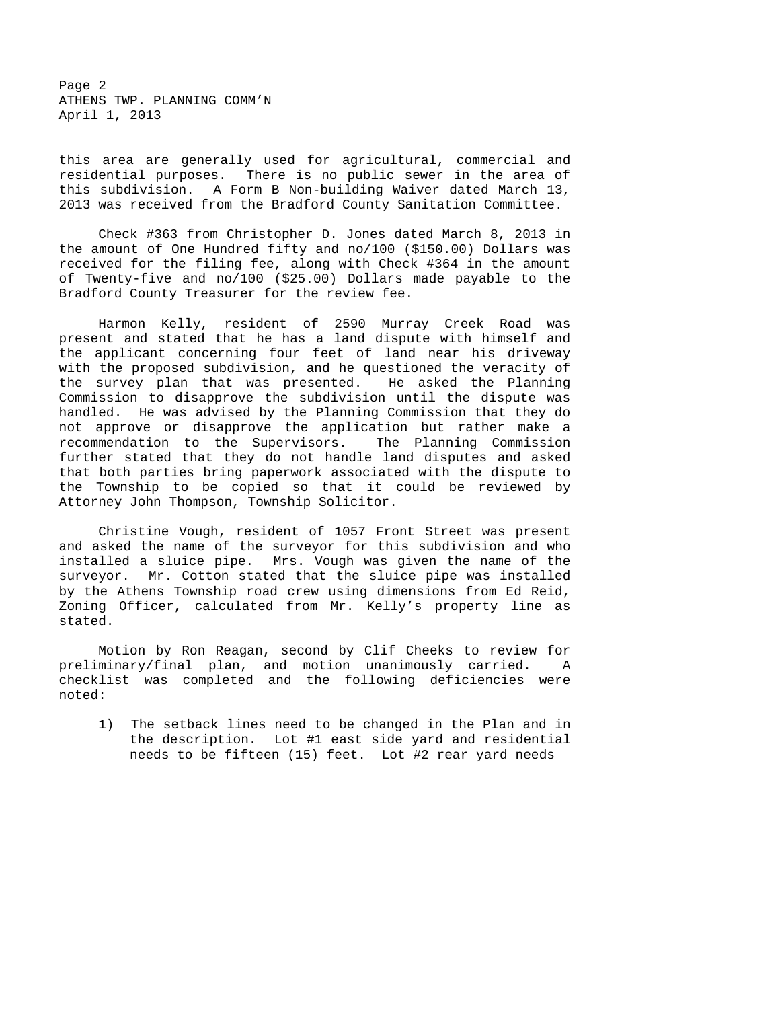Page 2 ATHENS TWP. PLANNING COMM'N April 1, 2013

this area are generally used for agricultural, commercial and residential purposes. There is no public sewer in the area of this subdivision. A Form B Non-building Waiver dated March 13, 2013 was received from the Bradford County Sanitation Committee.

 Check #363 from Christopher D. Jones dated March 8, 2013 in the amount of One Hundred fifty and no/100 (\$150.00) Dollars was received for the filing fee, along with Check #364 in the amount of Twenty-five and no/100 (\$25.00) Dollars made payable to the Bradford County Treasurer for the review fee.

 Harmon Kelly, resident of 2590 Murray Creek Road was present and stated that he has a land dispute with himself and the applicant concerning four feet of land near his driveway with the proposed subdivision, and he questioned the veracity of the survey plan that was presented. He asked the Planning Commission to disapprove the subdivision until the dispute was handled. He was advised by the Planning Commission that they do not approve or disapprove the application but rather make a recommendation to the Supervisors. The Planning Commission further stated that they do not handle land disputes and asked that both parties bring paperwork associated with the dispute to the Township to be copied so that it could be reviewed by Attorney John Thompson, Township Solicitor.

 Christine Vough, resident of 1057 Front Street was present and asked the name of the surveyor for this subdivision and who installed a sluice pipe. Mrs. Vough was given the name of the surveyor. Mr. Cotton stated that the sluice pipe was installed by the Athens Township road crew using dimensions from Ed Reid, Zoning Officer, calculated from Mr. Kelly's property line as stated.

 Motion by Ron Reagan, second by Clif Cheeks to review for preliminary/final plan, and motion unanimously carried. A checklist was completed and the following deficiencies were noted:

 1) The setback lines need to be changed in the Plan and in the description. Lot #1 east side yard and residential needs to be fifteen (15) feet. Lot #2 rear yard needs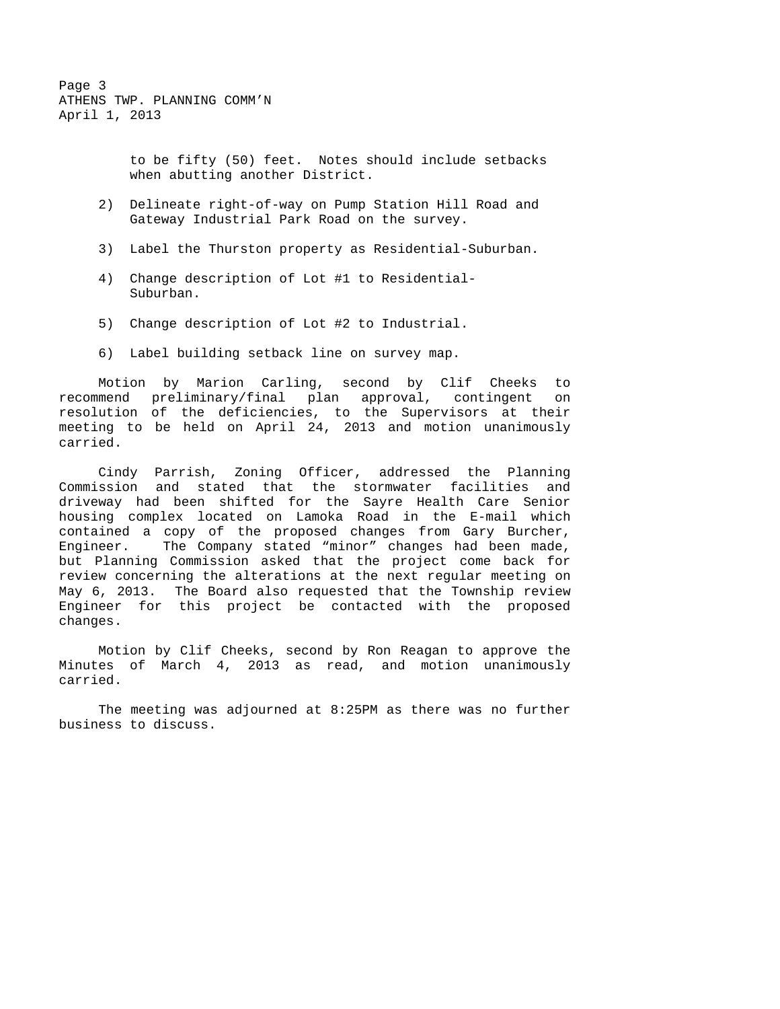Page 3 ATHENS TWP. PLANNING COMM'N April 1, 2013

> to be fifty (50) feet. Notes should include setbacks when abutting another District.

- 2) Delineate right-of-way on Pump Station Hill Road and Gateway Industrial Park Road on the survey.
- 3) Label the Thurston property as Residential-Suburban.
- 4) Change description of Lot #1 to Residential- Suburban.
- 5) Change description of Lot #2 to Industrial.
- 6) Label building setback line on survey map.

 Motion by Marion Carling, second by Clif Cheeks to recommend preliminary/final plan approval, contingent on resolution of the deficiencies, to the Supervisors at their meeting to be held on April 24, 2013 and motion unanimously carried.

 Cindy Parrish, Zoning Officer, addressed the Planning Commission and stated that the stormwater facilities and driveway had been shifted for the Sayre Health Care Senior housing complex located on Lamoka Road in the E-mail which contained a copy of the proposed changes from Gary Burcher, Engineer. The Company stated "minor" changes had been made, but Planning Commission asked that the project come back for review concerning the alterations at the next regular meeting on May 6, 2013. The Board also requested that the Township review Engineer for this project be contacted with the proposed changes.

 Motion by Clif Cheeks, second by Ron Reagan to approve the Minutes of March 4, 2013 as read, and motion unanimously carried.

 The meeting was adjourned at 8:25PM as there was no further business to discuss.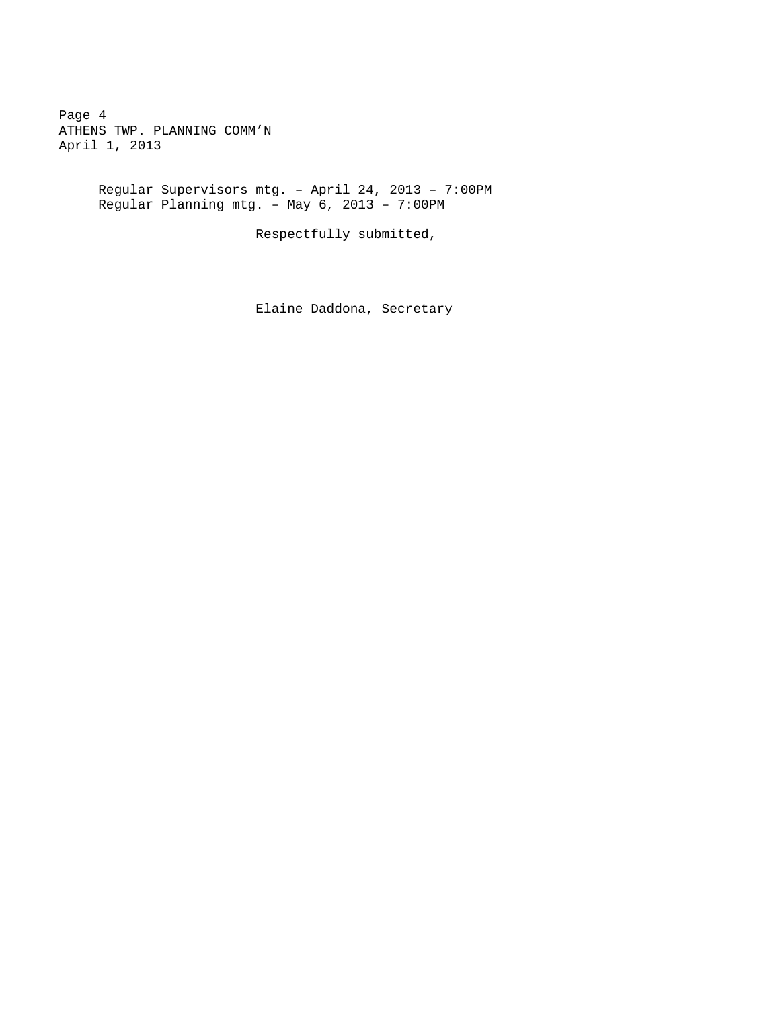Page 4 ATHENS TWP. PLANNING COMM'N April 1, 2013

> Regular Supervisors mtg. – April 24, 2013 – 7:00PM Regular Planning mtg. – May 6, 2013 – 7:00PM

> > Respectfully submitted,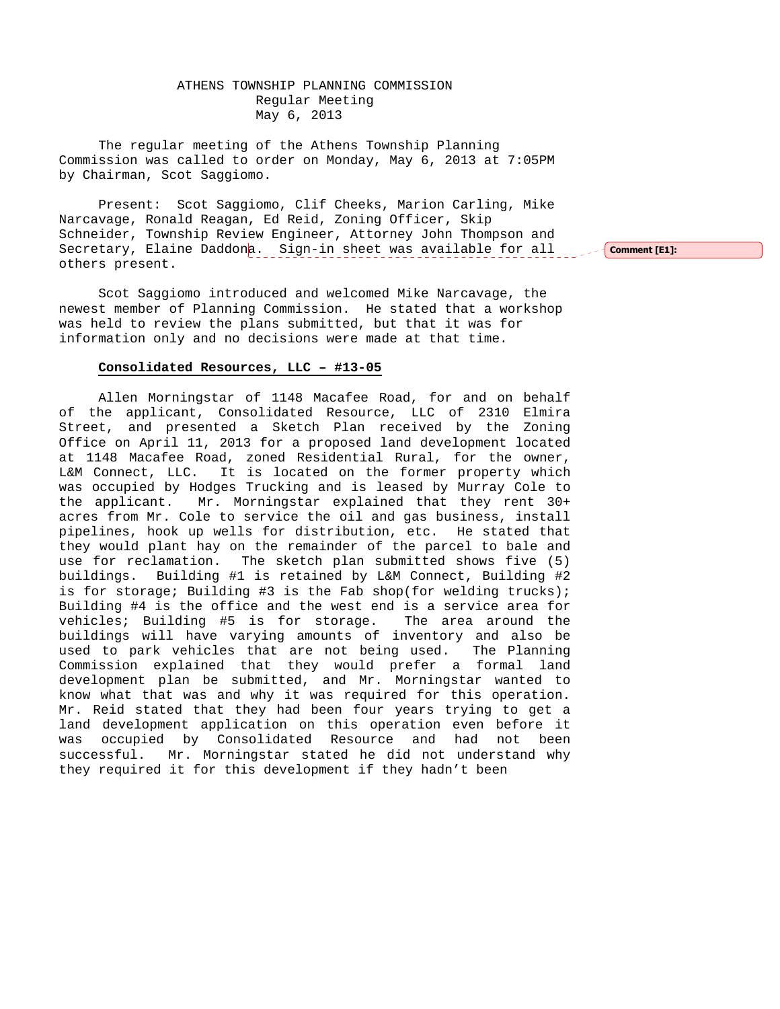# ATHENS TOWNSHIP PLANNING COMMISSION Regular Meeting May 6, 2013

The regular meeting of the Athens Township Planning Commission was called to order on Monday, May 6, 2013 at 7:05PM by Chairman, Scot Saggiomo.

Present: Scot Saggiomo, Clif Cheeks, Marion Carling, Mike Narcavage, Ronald Reagan, Ed Reid, Zoning Officer, Skip Schneider, Township Review Engineer, Attorney John Thompson and Secretary, Elaine Daddona. Sign-in sheet was available for all others present.

Scot Saggiomo introduced and welcomed Mike Narcavage, the newest member of Planning Commission. He stated that a workshop was held to review the plans submitted, but that it was for information only and no decisions were made at that time.

#### **Consolidated Resources, LLC – #13-05**

 Allen Morningstar of 1148 Macafee Road, for and on behalf of the applicant, Consolidated Resource, LLC of 2310 Elmira Street, and presented a Sketch Plan received by the Zoning Office on April 11, 2013 for a proposed land development located at 1148 Macafee Road, zoned Residential Rural, for the owner, L&M Connect, LLC. It is located on the former property which was occupied by Hodges Trucking and is leased by Murray Cole to the applicant. Mr. Morningstar explained that they rent 30+ acres from Mr. Cole to service the oil and gas business, install pipelines, hook up wells for distribution, etc. He stated that they would plant hay on the remainder of the parcel to bale and use for reclamation. The sketch plan submitted shows five (5) buildings. Building #1 is retained by L&M Connect, Building #2 is for storage; Building #3 is the Fab shop(for welding trucks); Building #4 is the office and the west end is a service area for vehicles; Building #5 is for storage. The area around the buildings will have varying amounts of inventory and also be used to park vehicles that are not being used. The Planning Commission explained that they would prefer a formal land development plan be submitted, and Mr. Morningstar wanted to know what that was and why it was required for this operation. Mr. Reid stated that they had been four years trying to get a land development application on this operation even before it was occupied by Consolidated Resource and had not been successful. Mr. Morningstar stated he did not understand why they required it for this development if they hadn't been

Comment [E1]: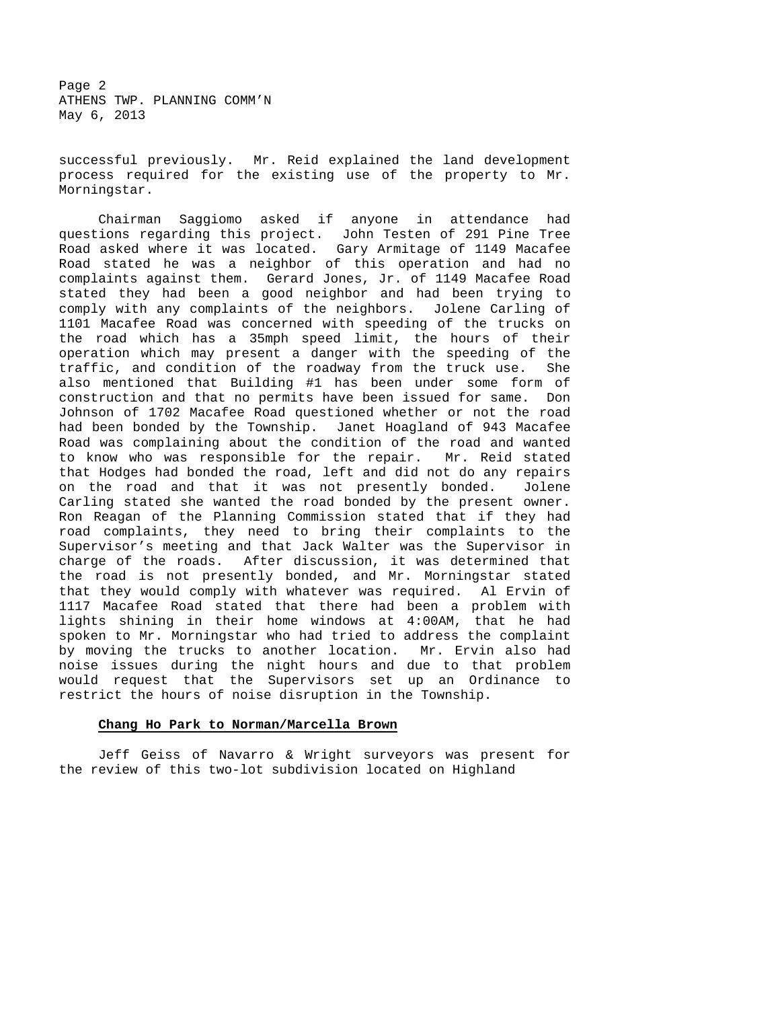Page 2 ATHENS TWP. PLANNING COMM'N May 6, 2013

successful previously. Mr. Reid explained the land development process required for the existing use of the property to Mr. Morningstar.

 Chairman Saggiomo asked if anyone in attendance had questions regarding this project. John Testen of 291 Pine Tree Road asked where it was located. Gary Armitage of 1149 Macafee Road stated he was a neighbor of this operation and had no complaints against them. Gerard Jones, Jr. of 1149 Macafee Road stated they had been a good neighbor and had been trying to comply with any complaints of the neighbors. Jolene Carling of 1101 Macafee Road was concerned with speeding of the trucks on the road which has a 35mph speed limit, the hours of their operation which may present a danger with the speeding of the traffic, and condition of the roadway from the truck use. She also mentioned that Building #1 has been under some form of construction and that no permits have been issued for same. Don Johnson of 1702 Macafee Road questioned whether or not the road had been bonded by the Township. Janet Hoagland of 943 Macafee Road was complaining about the condition of the road and wanted to know who was responsible for the repair. Mr. Reid stated that Hodges had bonded the road, left and did not do any repairs on the road and that it was not presently bonded. Jolene Carling stated she wanted the road bonded by the present owner. Ron Reagan of the Planning Commission stated that if they had road complaints, they need to bring their complaints to the Supervisor's meeting and that Jack Walter was the Supervisor in charge of the roads. After discussion, it was determined that the road is not presently bonded, and Mr. Morningstar stated that they would comply with whatever was required. Al Ervin of 1117 Macafee Road stated that there had been a problem with lights shining in their home windows at 4:00AM, that he had spoken to Mr. Morningstar who had tried to address the complaint by moving the trucks to another location. Mr. Ervin also had noise issues during the night hours and due to that problem would request that the Supervisors set up an Ordinance to restrict the hours of noise disruption in the Township.

#### **Chang Ho Park to Norman/Marcella Brown**

 Jeff Geiss of Navarro & Wright surveyors was present for the review of this two-lot subdivision located on Highland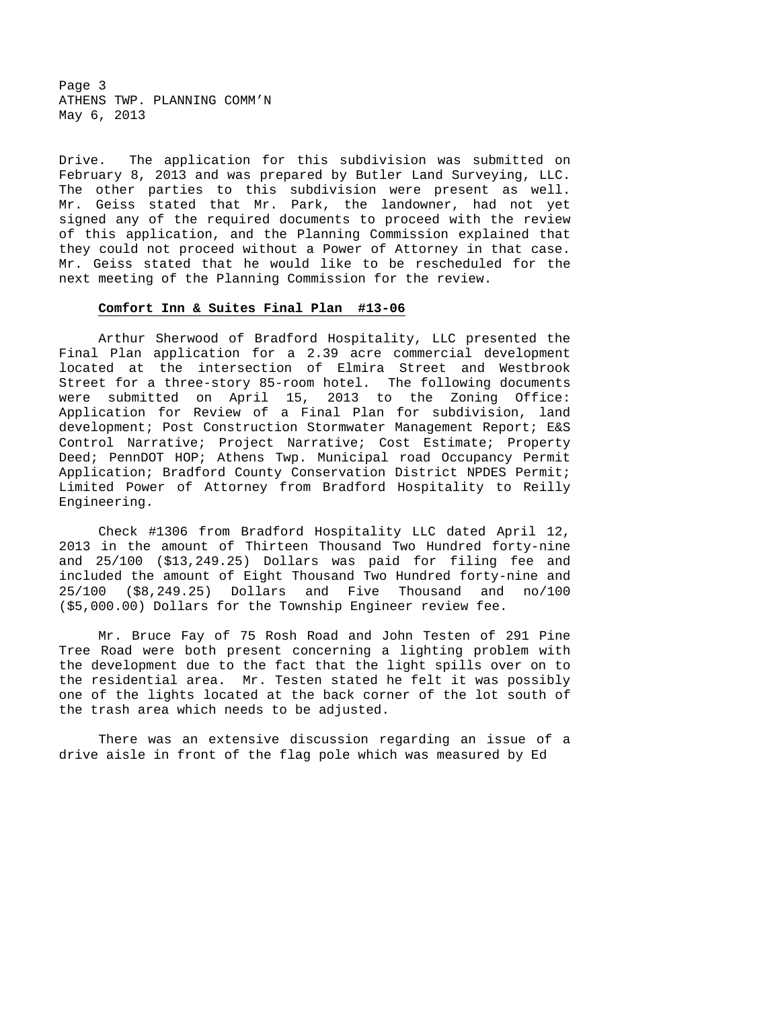Page 3 ATHENS TWP. PLANNING COMM'N May 6, 2013

Drive. The application for this subdivision was submitted on February 8, 2013 and was prepared by Butler Land Surveying, LLC. The other parties to this subdivision were present as well. Mr. Geiss stated that Mr. Park, the landowner, had not yet signed any of the required documents to proceed with the review of this application, and the Planning Commission explained that they could not proceed without a Power of Attorney in that case. Mr. Geiss stated that he would like to be rescheduled for the next meeting of the Planning Commission for the review.

#### **Comfort Inn & Suites Final Plan #13-06**

 Arthur Sherwood of Bradford Hospitality, LLC presented the Final Plan application for a 2.39 acre commercial development located at the intersection of Elmira Street and Westbrook Street for a three-story 85-room hotel. The following documents were submitted on April 15, 2013 to the Zoning Office: Application for Review of a Final Plan for subdivision, land development; Post Construction Stormwater Management Report; E&S Control Narrative; Project Narrative; Cost Estimate; Property Deed; PennDOT HOP; Athens Twp. Municipal road Occupancy Permit Application; Bradford County Conservation District NPDES Permit; Limited Power of Attorney from Bradford Hospitality to Reilly Engineering.

 Check #1306 from Bradford Hospitality LLC dated April 12, 2013 in the amount of Thirteen Thousand Two Hundred forty-nine and 25/100 (\$13,249.25) Dollars was paid for filing fee and included the amount of Eight Thousand Two Hundred forty-nine and 25/100 (\$8,249.25) Dollars and Five Thousand and no/100 (\$5,000.00) Dollars for the Township Engineer review fee.

 Mr. Bruce Fay of 75 Rosh Road and John Testen of 291 Pine Tree Road were both present concerning a lighting problem with the development due to the fact that the light spills over on to the residential area. Mr. Testen stated he felt it was possibly one of the lights located at the back corner of the lot south of the trash area which needs to be adjusted.

 There was an extensive discussion regarding an issue of a drive aisle in front of the flag pole which was measured by Ed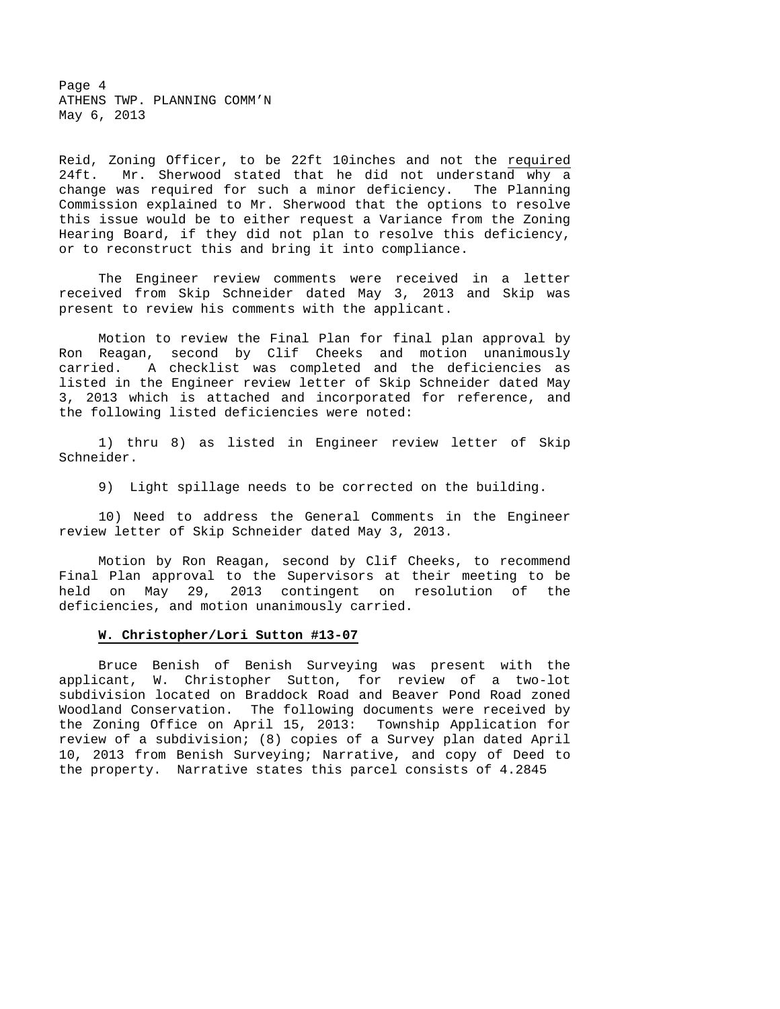Page 4 ATHENS TWP. PLANNING COMM'N May 6, 2013

Reid, Zoning Officer, to be 22ft 10inches and not the required 24ft. Mr. Sherwood stated that he did not understand why a change was required for such a minor deficiency. The Planning Commission explained to Mr. Sherwood that the options to resolve this issue would be to either request a Variance from the Zoning Hearing Board, if they did not plan to resolve this deficiency, or to reconstruct this and bring it into compliance.

 The Engineer review comments were received in a letter received from Skip Schneider dated May 3, 2013 and Skip was present to review his comments with the applicant.

 Motion to review the Final Plan for final plan approval by Ron Reagan, second by Clif Cheeks and motion unanimously carried. A checklist was completed and the deficiencies as listed in the Engineer review letter of Skip Schneider dated May 3, 2013 which is attached and incorporated for reference, and the following listed deficiencies were noted:

 1) thru 8) as listed in Engineer review letter of Skip Schneider.

9) Light spillage needs to be corrected on the building.

 10) Need to address the General Comments in the Engineer review letter of Skip Schneider dated May 3, 2013.

 Motion by Ron Reagan, second by Clif Cheeks, to recommend Final Plan approval to the Supervisors at their meeting to be held on May 29, 2013 contingent on resolution of the deficiencies, and motion unanimously carried.

#### **W. Christopher/Lori Sutton #13-07**

 Bruce Benish of Benish Surveying was present with the applicant, W. Christopher Sutton, for review of a two-lot subdivision located on Braddock Road and Beaver Pond Road zoned Woodland Conservation. The following documents were received by the Zoning Office on April 15, 2013: Township Application for review of a subdivision; (8) copies of a Survey plan dated April 10, 2013 from Benish Surveying; Narrative, and copy of Deed to the property. Narrative states this parcel consists of 4.2845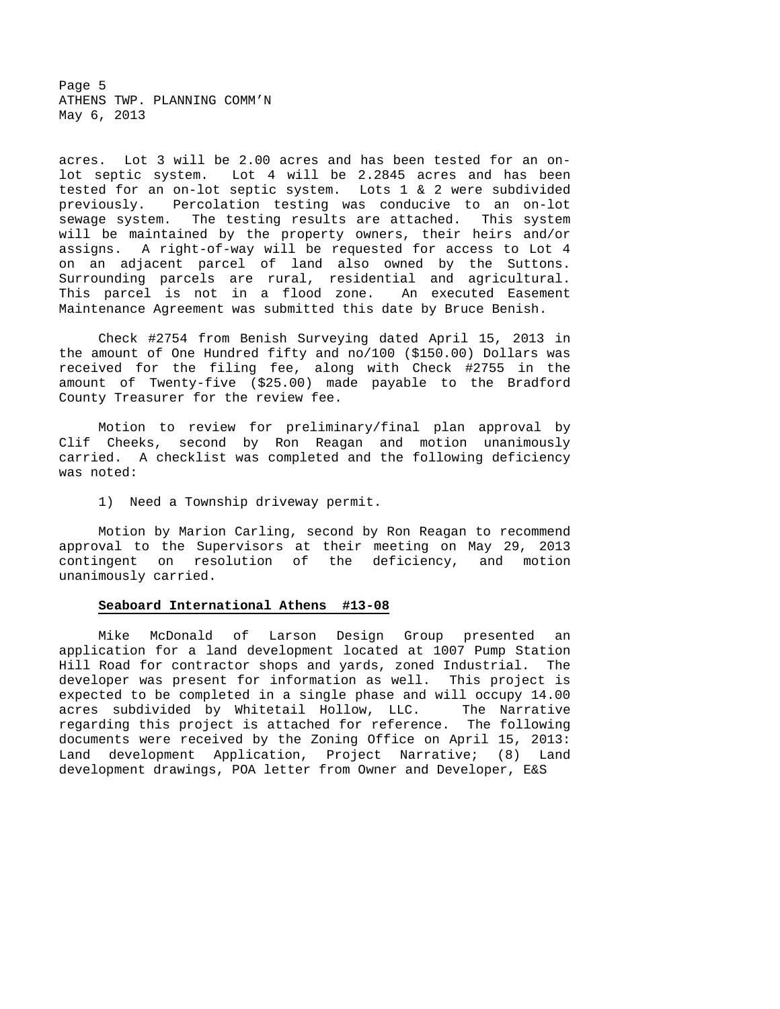Page 5 ATHENS TWP. PLANNING COMM'N May 6, 2013

acres. Lot 3 will be 2.00 acres and has been tested for an onlot septic system. Lot 4 will be 2.2845 acres and has been tested for an on-lot septic system. Lots 1 & 2 were subdivided previously. Percolation testing was conducive to an on-lot sewage system. The testing results are attached. This system will be maintained by the property owners, their heirs and/or assigns. A right-of-way will be requested for access to Lot 4 on an adjacent parcel of land also owned by the Suttons. Surrounding parcels are rural, residential and agricultural. This parcel is not in a flood zone. An executed Easement Maintenance Agreement was submitted this date by Bruce Benish.

 Check #2754 from Benish Surveying dated April 15, 2013 in the amount of One Hundred fifty and no/100 (\$150.00) Dollars was received for the filing fee, along with Check #2755 in the amount of Twenty-five (\$25.00) made payable to the Bradford County Treasurer for the review fee.

 Motion to review for preliminary/final plan approval by Clif Cheeks, second by Ron Reagan and motion unanimously carried. A checklist was completed and the following deficiency was noted:

1) Need a Township driveway permit.

 Motion by Marion Carling, second by Ron Reagan to recommend approval to the Supervisors at their meeting on May 29, 2013 contingent on resolution of the deficiency, and motion unanimously carried.

#### **Seaboard International Athens #13-08**

 Mike McDonald of Larson Design Group presented an application for a land development located at 1007 Pump Station Hill Road for contractor shops and yards, zoned Industrial. The developer was present for information as well. This project is expected to be completed in a single phase and will occupy 14.00 acres subdivided by Whitetail Hollow, LLC. The Narrative regarding this project is attached for reference. The following documents were received by the Zoning Office on April 15, 2013: Land development Application, Project Narrative; (8) Land development drawings, POA letter from Owner and Developer, E&S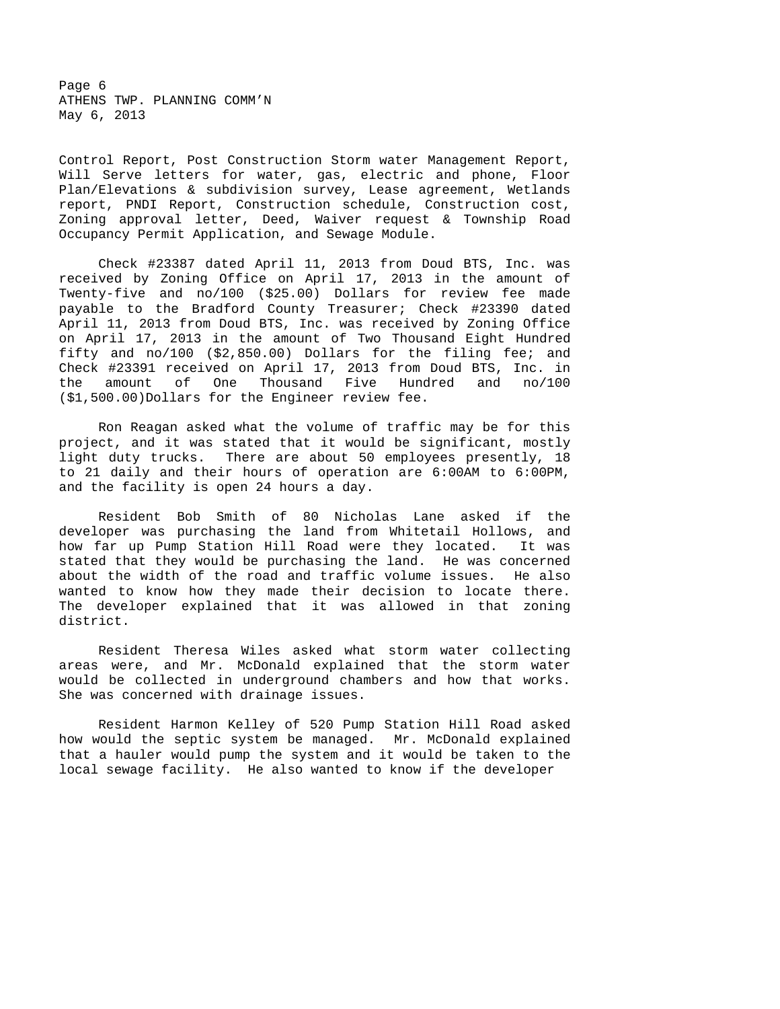Page 6 ATHENS TWP. PLANNING COMM'N May 6, 2013

Control Report, Post Construction Storm water Management Report, Will Serve letters for water, gas, electric and phone, Floor Plan/Elevations & subdivision survey, Lease agreement, Wetlands report, PNDI Report, Construction schedule, Construction cost, Zoning approval letter, Deed, Waiver request & Township Road Occupancy Permit Application, and Sewage Module.

 Check #23387 dated April 11, 2013 from Doud BTS, Inc. was received by Zoning Office on April 17, 2013 in the amount of Twenty-five and no/100 (\$25.00) Dollars for review fee made payable to the Bradford County Treasurer; Check #23390 dated April 11, 2013 from Doud BTS, Inc. was received by Zoning Office on April 17, 2013 in the amount of Two Thousand Eight Hundred fifty and no/100 (\$2,850.00) Dollars for the filing fee; and Check #23391 received on April 17, 2013 from Doud BTS, Inc. in the amount of One Thousand Five Hundred and no/100 (\$1,500.00)Dollars for the Engineer review fee.

 Ron Reagan asked what the volume of traffic may be for this project, and it was stated that it would be significant, mostly light duty trucks. There are about 50 employees presently, 18 to 21 daily and their hours of operation are 6:00AM to 6:00PM, and the facility is open 24 hours a day.

 Resident Bob Smith of 80 Nicholas Lane asked if the developer was purchasing the land from Whitetail Hollows, and how far up Pump Station Hill Road were they located. It was stated that they would be purchasing the land. He was concerned about the width of the road and traffic volume issues. He also wanted to know how they made their decision to locate there. The developer explained that it was allowed in that zoning district.

 Resident Theresa Wiles asked what storm water collecting areas were, and Mr. McDonald explained that the storm water would be collected in underground chambers and how that works. She was concerned with drainage issues.

 Resident Harmon Kelley of 520 Pump Station Hill Road asked how would the septic system be managed. Mr. McDonald explained that a hauler would pump the system and it would be taken to the local sewage facility. He also wanted to know if the developer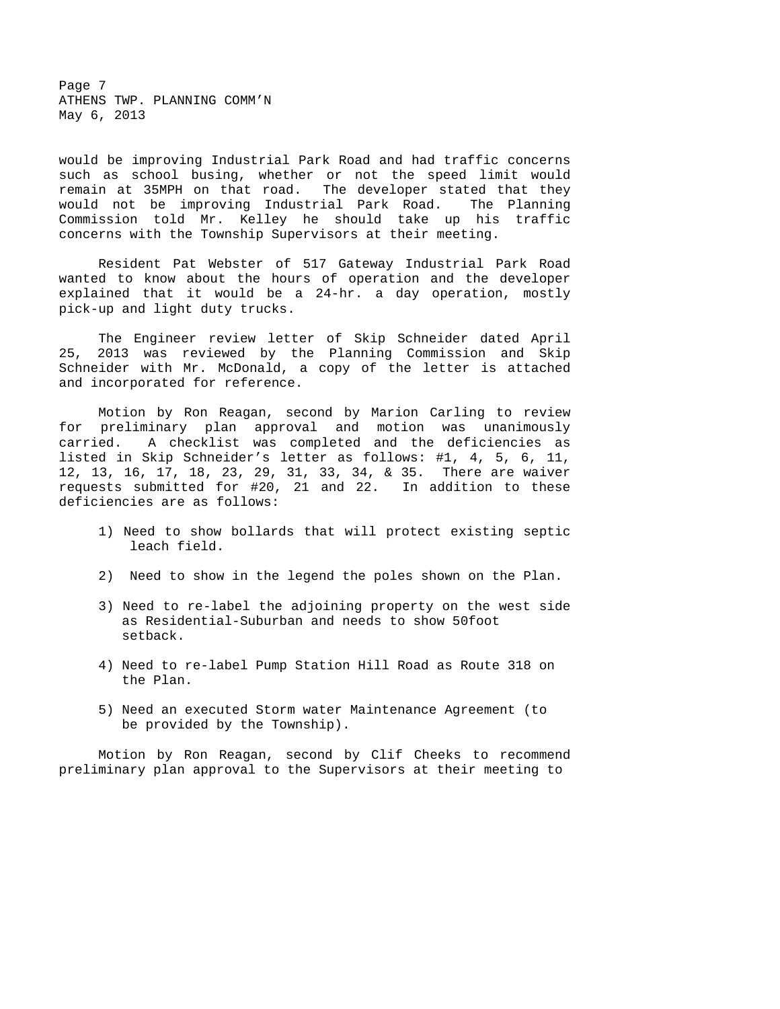Page 7 ATHENS TWP. PLANNING COMM'N May 6, 2013

would be improving Industrial Park Road and had traffic concerns such as school busing, whether or not the speed limit would remain at 35MPH on that road. The developer stated that they would not be improving Industrial Park Road. The Planning Commission told Mr. Kelley he should take up his traffic concerns with the Township Supervisors at their meeting.

 Resident Pat Webster of 517 Gateway Industrial Park Road wanted to know about the hours of operation and the developer explained that it would be a 24-hr. a day operation, mostly pick-up and light duty trucks.

 The Engineer review letter of Skip Schneider dated April 25, 2013 was reviewed by the Planning Commission and Skip Schneider with Mr. McDonald, a copy of the letter is attached and incorporated for reference.

 Motion by Ron Reagan, second by Marion Carling to review for preliminary plan approval and motion was unanimously carried. A checklist was completed and the deficiencies as listed in Skip Schneider's letter as follows: #1, 4, 5, 6, 11, 12, 13, 16, 17, 18, 23, 29, 31, 33, 34, & 35. There are waiver requests submitted for #20, 21 and 22. In addition to these deficiencies are as follows:

- 1) Need to show bollards that will protect existing septic leach field.
- 2) Need to show in the legend the poles shown on the Plan.
- 3) Need to re-label the adjoining property on the west side as Residential-Suburban and needs to show 50foot setback.
- 4) Need to re-label Pump Station Hill Road as Route 318 on the Plan.
- 5) Need an executed Storm water Maintenance Agreement (to be provided by the Township).

 Motion by Ron Reagan, second by Clif Cheeks to recommend preliminary plan approval to the Supervisors at their meeting to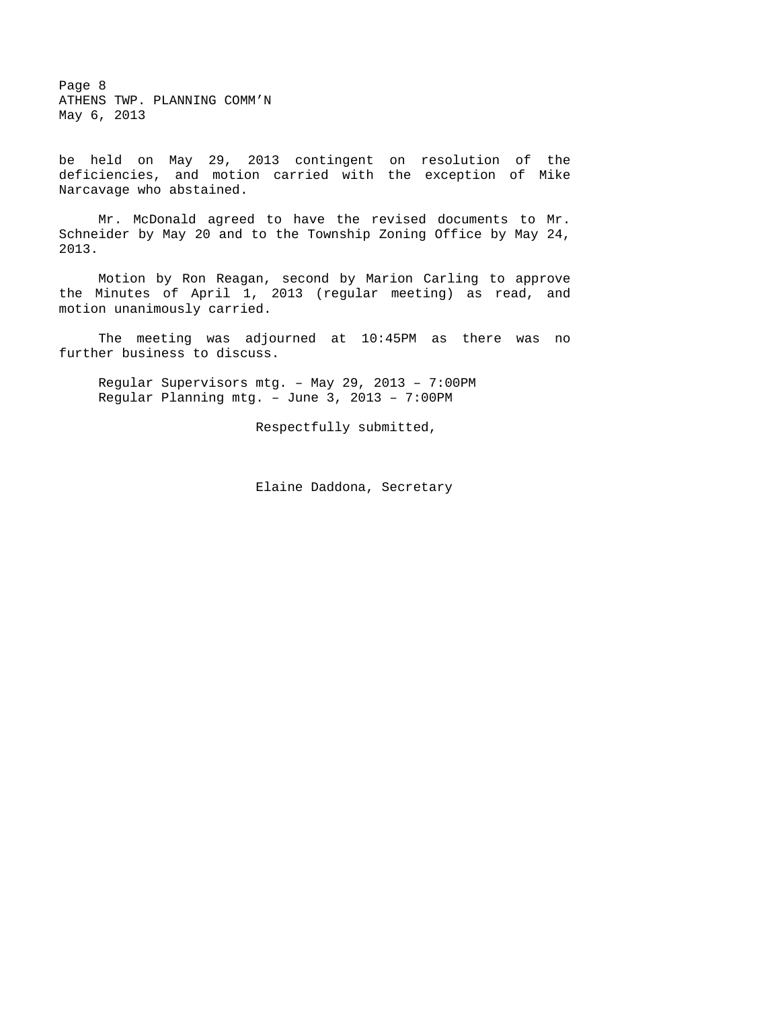Page 8 ATHENS TWP. PLANNING COMM'N May 6, 2013

be held on May 29, 2013 contingent on resolution of the deficiencies, and motion carried with the exception of Mike Narcavage who abstained.

 Mr. McDonald agreed to have the revised documents to Mr. Schneider by May 20 and to the Township Zoning Office by May 24, 2013.

 Motion by Ron Reagan, second by Marion Carling to approve the Minutes of April 1, 2013 (regular meeting) as read, and motion unanimously carried.

 The meeting was adjourned at 10:45PM as there was no further business to discuss.

Regular Supervisors mtg. – May 29, 2013 – 7:00PM Regular Planning mtg. – June 3, 2013 – 7:00PM

Respectfully submitted,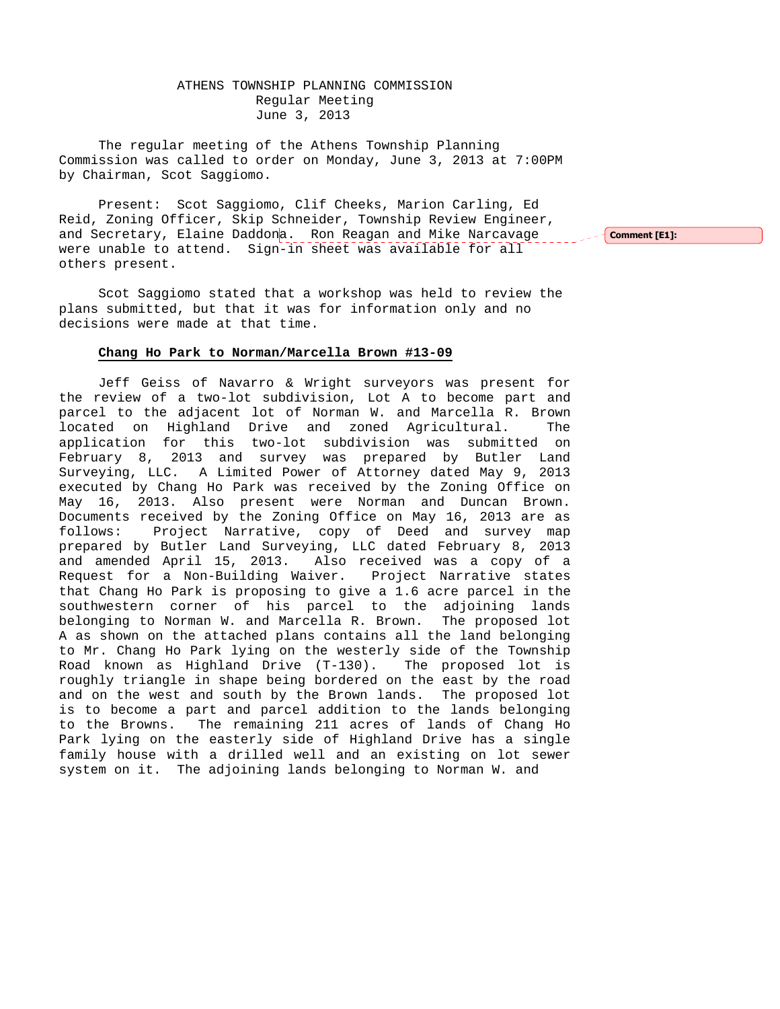# ATHENS TOWNSHIP PLANNING COMMISSION Regular Meeting June 3, 2013

The regular meeting of the Athens Township Planning Commission was called to order on Monday, June 3, 2013 at 7:00PM by Chairman, Scot Saggiomo.

Present: Scot Saggiomo, Clif Cheeks, Marion Carling, Ed Reid, Zoning Officer, Skip Schneider, Township Review Engineer, and Secretary, Elaine Daddona. Ron Reagan and Mike Narcavage were unable to attend. Sign-in sheet was available for all others present.

Scot Saggiomo stated that a workshop was held to review the plans submitted, but that it was for information only and no decisions were made at that time.

#### **Chang Ho Park to Norman/Marcella Brown #13-09**

 Jeff Geiss of Navarro & Wright surveyors was present for the review of a two-lot subdivision, Lot A to become part and parcel to the adjacent lot of Norman W. and Marcella R. Brown located on Highland Drive and zoned Agricultural. The application for this two-lot subdivision was submitted on February 8, 2013 and survey was prepared by Butler Land Surveying, LLC. A Limited Power of Attorney dated May 9, 2013 executed by Chang Ho Park was received by the Zoning Office on May 16, 2013. Also present were Norman and Duncan Brown. Documents received by the Zoning Office on May 16, 2013 are as follows: Project Narrative, copy of Deed and survey map prepared by Butler Land Surveying, LLC dated February 8, 2013 and amended April 15, 2013. Also received was a copy of a Request for a Non-Building Waiver. Project Narrative states that Chang Ho Park is proposing to give a 1.6 acre parcel in the southwestern corner of his parcel to the adjoining lands belonging to Norman W. and Marcella R. Brown. The proposed lot A as shown on the attached plans contains all the land belonging to Mr. Chang Ho Park lying on the westerly side of the Township Road known as Highland Drive (T-130). The proposed lot is roughly triangle in shape being bordered on the east by the road and on the west and south by the Brown lands. The proposed lot is to become a part and parcel addition to the lands belonging to the Browns. The remaining 211 acres of lands of Chang Ho Park lying on the easterly side of Highland Drive has a single family house with a drilled well and an existing on lot sewer system on it. The adjoining lands belonging to Norman W. and

Comment [E1]: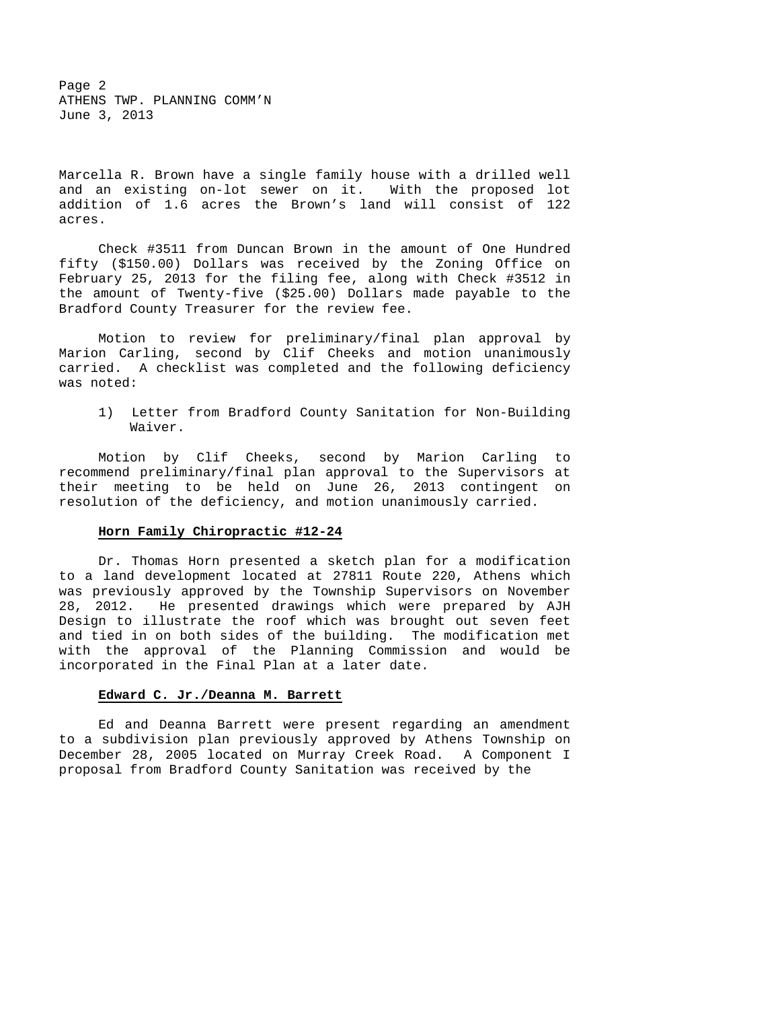Page 2 ATHENS TWP. PLANNING COMM'N June 3, 2013

Marcella R. Brown have a single family house with a drilled well and an existing on-lot sewer on it. With the proposed lot addition of 1.6 acres the Brown's land will consist of 122 acres.

 Check #3511 from Duncan Brown in the amount of One Hundred fifty (\$150.00) Dollars was received by the Zoning Office on February 25, 2013 for the filing fee, along with Check #3512 in the amount of Twenty-five (\$25.00) Dollars made payable to the Bradford County Treasurer for the review fee.

 Motion to review for preliminary/final plan approval by Marion Carling, second by Clif Cheeks and motion unanimously carried. A checklist was completed and the following deficiency was noted:

 1) Letter from Bradford County Sanitation for Non-Building Waiver.

 Motion by Clif Cheeks, second by Marion Carling to recommend preliminary/final plan approval to the Supervisors at their meeting to be held on June 26, 2013 contingent on resolution of the deficiency, and motion unanimously carried.

#### **Horn Family Chiropractic #12-24**

 Dr. Thomas Horn presented a sketch plan for a modification to a land development located at 27811 Route 220, Athens which was previously approved by the Township Supervisors on November 28, 2012. He presented drawings which were prepared by AJH Design to illustrate the roof which was brought out seven feet and tied in on both sides of the building. The modification met with the approval of the Planning Commission and would be incorporated in the Final Plan at a later date.

#### **Edward C. Jr./Deanna M. Barrett**

 Ed and Deanna Barrett were present regarding an amendment to a subdivision plan previously approved by Athens Township on December 28, 2005 located on Murray Creek Road. A Component I proposal from Bradford County Sanitation was received by the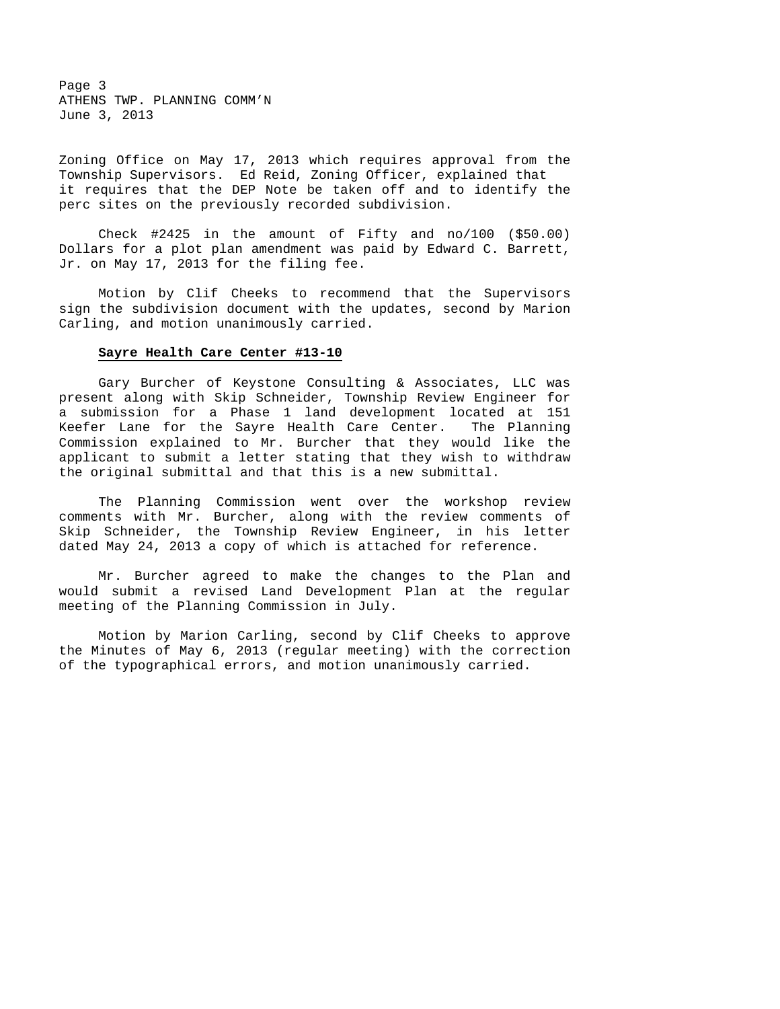Page 3 ATHENS TWP. PLANNING COMM'N June 3, 2013

Zoning Office on May 17, 2013 which requires approval from the Township Supervisors. Ed Reid, Zoning Officer, explained that it requires that the DEP Note be taken off and to identify the perc sites on the previously recorded subdivision.

 Check #2425 in the amount of Fifty and no/100 (\$50.00) Dollars for a plot plan amendment was paid by Edward C. Barrett, Jr. on May 17, 2013 for the filing fee.

 Motion by Clif Cheeks to recommend that the Supervisors sign the subdivision document with the updates, second by Marion Carling, and motion unanimously carried.

#### **Sayre Health Care Center #13-10**

 Gary Burcher of Keystone Consulting & Associates, LLC was present along with Skip Schneider, Township Review Engineer for a submission for a Phase 1 land development located at 151 Keefer Lane for the Sayre Health Care Center. The Planning Commission explained to Mr. Burcher that they would like the applicant to submit a letter stating that they wish to withdraw the original submittal and that this is a new submittal.

 The Planning Commission went over the workshop review comments with Mr. Burcher, along with the review comments of Skip Schneider, the Township Review Engineer, in his letter dated May 24, 2013 a copy of which is attached for reference.

 Mr. Burcher agreed to make the changes to the Plan and would submit a revised Land Development Plan at the regular meeting of the Planning Commission in July.

 Motion by Marion Carling, second by Clif Cheeks to approve the Minutes of May 6, 2013 (regular meeting) with the correction of the typographical errors, and motion unanimously carried.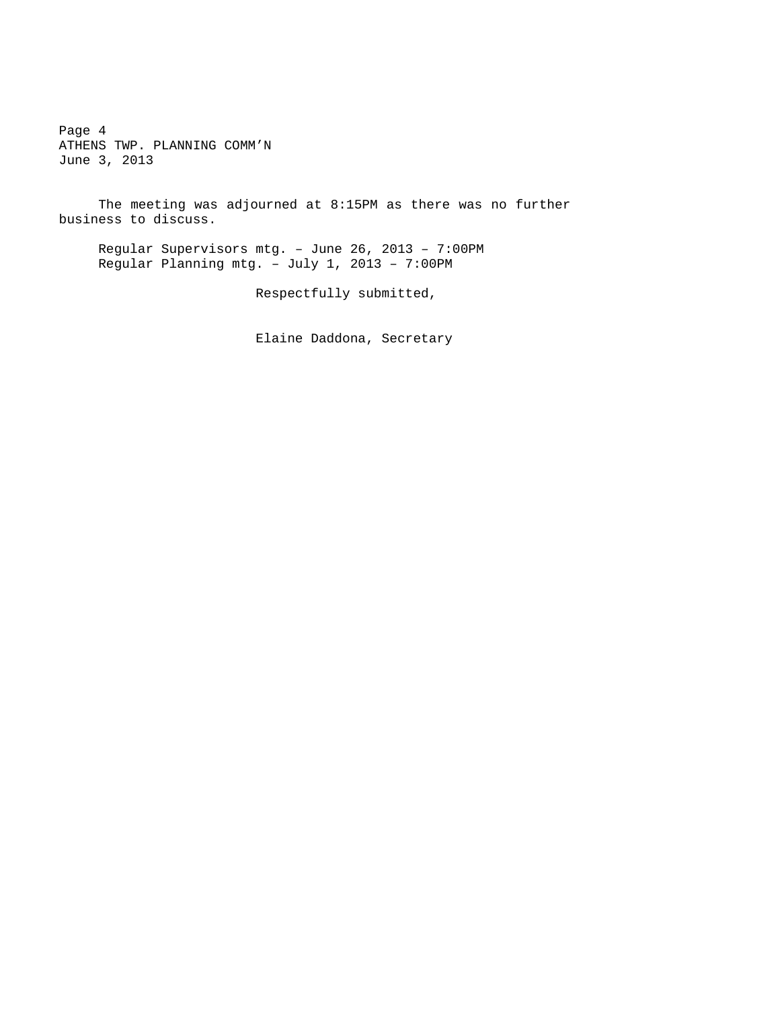Page 4 ATHENS TWP. PLANNING COMM'N June 3, 2013

 The meeting was adjourned at 8:15PM as there was no further business to discuss.

Regular Supervisors mtg. – June 26, 2013 – 7:00PM Regular Planning mtg. – July 1, 2013 – 7:00PM

Respectfully submitted,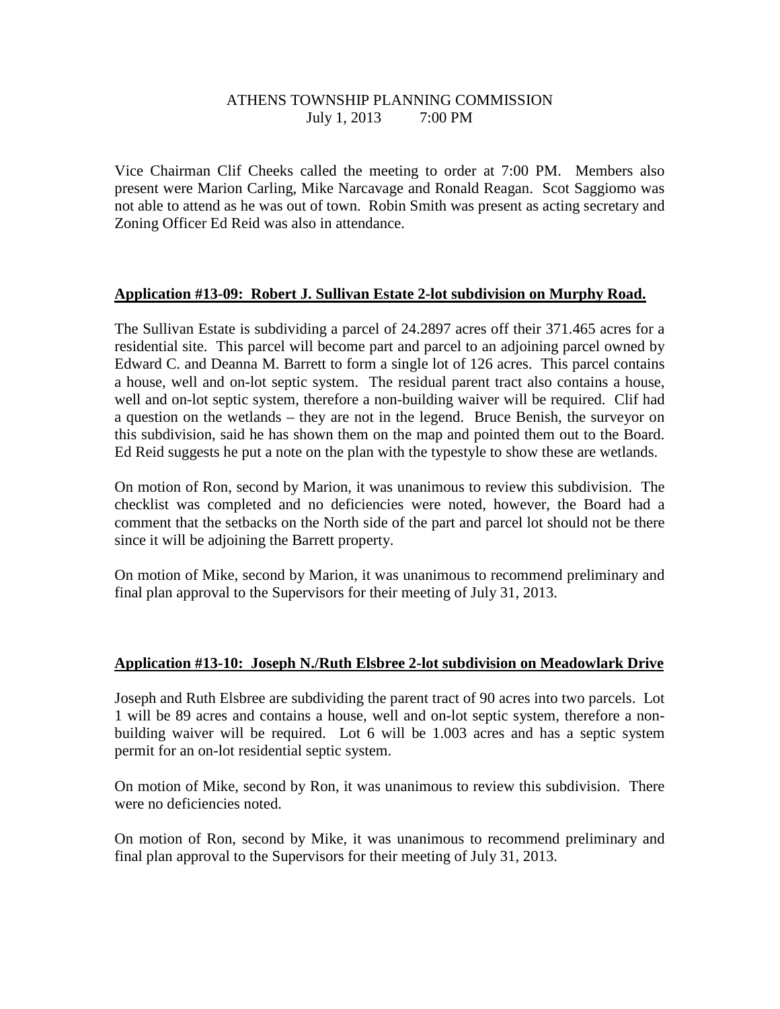# ATHENS TOWNSHIP PLANNING COMMISSION July 1, 2013 7:00 PM

Vice Chairman Clif Cheeks called the meeting to order at 7:00 PM. Members also present were Marion Carling, Mike Narcavage and Ronald Reagan. Scot Saggiomo was not able to attend as he was out of town. Robin Smith was present as acting secretary and Zoning Officer Ed Reid was also in attendance.

# **Application #13-09: Robert J. Sullivan Estate 2-lot subdivision on Murphy Road.**

The Sullivan Estate is subdividing a parcel of 24.2897 acres off their 371.465 acres for a residential site. This parcel will become part and parcel to an adjoining parcel owned by Edward C. and Deanna M. Barrett to form a single lot of 126 acres. This parcel contains a house, well and on-lot septic system. The residual parent tract also contains a house, well and on-lot septic system, therefore a non-building waiver will be required. Clif had a question on the wetlands – they are not in the legend. Bruce Benish, the surveyor on this subdivision, said he has shown them on the map and pointed them out to the Board. Ed Reid suggests he put a note on the plan with the typestyle to show these are wetlands.

On motion of Ron, second by Marion, it was unanimous to review this subdivision. The checklist was completed and no deficiencies were noted, however, the Board had a comment that the setbacks on the North side of the part and parcel lot should not be there since it will be adjoining the Barrett property.

On motion of Mike, second by Marion, it was unanimous to recommend preliminary and final plan approval to the Supervisors for their meeting of July 31, 2013.

# **Application #13-10: Joseph N./Ruth Elsbree 2-lot subdivision on Meadowlark Drive**

Joseph and Ruth Elsbree are subdividing the parent tract of 90 acres into two parcels. Lot 1 will be 89 acres and contains a house, well and on-lot septic system, therefore a nonbuilding waiver will be required. Lot 6 will be 1.003 acres and has a septic system permit for an on-lot residential septic system.

On motion of Mike, second by Ron, it was unanimous to review this subdivision. There were no deficiencies noted.

On motion of Ron, second by Mike, it was unanimous to recommend preliminary and final plan approval to the Supervisors for their meeting of July 31, 2013.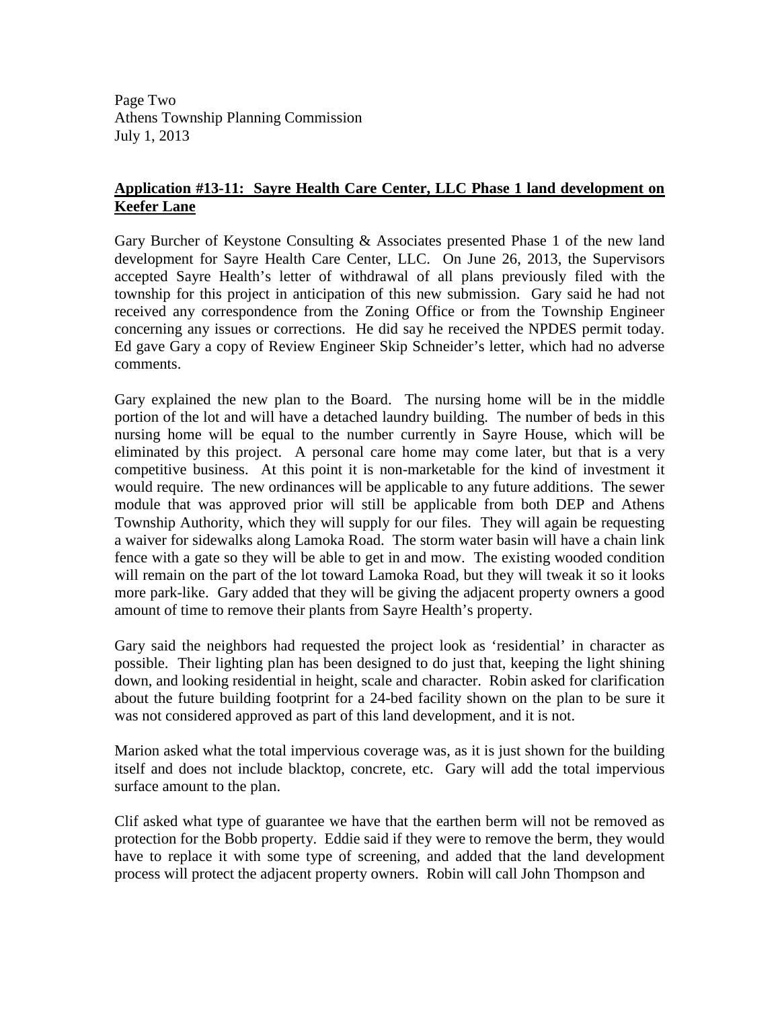Page Two Athens Township Planning Commission July 1, 2013

# **Application #13-11: Sayre Health Care Center, LLC Phase 1 land development on Keefer Lane**

Gary Burcher of Keystone Consulting & Associates presented Phase 1 of the new land development for Sayre Health Care Center, LLC. On June 26, 2013, the Supervisors accepted Sayre Health's letter of withdrawal of all plans previously filed with the township for this project in anticipation of this new submission. Gary said he had not received any correspondence from the Zoning Office or from the Township Engineer concerning any issues or corrections. He did say he received the NPDES permit today. Ed gave Gary a copy of Review Engineer Skip Schneider's letter, which had no adverse comments.

Gary explained the new plan to the Board. The nursing home will be in the middle portion of the lot and will have a detached laundry building. The number of beds in this nursing home will be equal to the number currently in Sayre House, which will be eliminated by this project. A personal care home may come later, but that is a very competitive business. At this point it is non-marketable for the kind of investment it would require. The new ordinances will be applicable to any future additions. The sewer module that was approved prior will still be applicable from both DEP and Athens Township Authority, which they will supply for our files. They will again be requesting a waiver for sidewalks along Lamoka Road. The storm water basin will have a chain link fence with a gate so they will be able to get in and mow. The existing wooded condition will remain on the part of the lot toward Lamoka Road, but they will tweak it so it looks more park-like. Gary added that they will be giving the adjacent property owners a good amount of time to remove their plants from Sayre Health's property.

Gary said the neighbors had requested the project look as 'residential' in character as possible. Their lighting plan has been designed to do just that, keeping the light shining down, and looking residential in height, scale and character. Robin asked for clarification about the future building footprint for a 24-bed facility shown on the plan to be sure it was not considered approved as part of this land development, and it is not.

Marion asked what the total impervious coverage was, as it is just shown for the building itself and does not include blacktop, concrete, etc. Gary will add the total impervious surface amount to the plan.

Clif asked what type of guarantee we have that the earthen berm will not be removed as protection for the Bobb property. Eddie said if they were to remove the berm, they would have to replace it with some type of screening, and added that the land development process will protect the adjacent property owners. Robin will call John Thompson and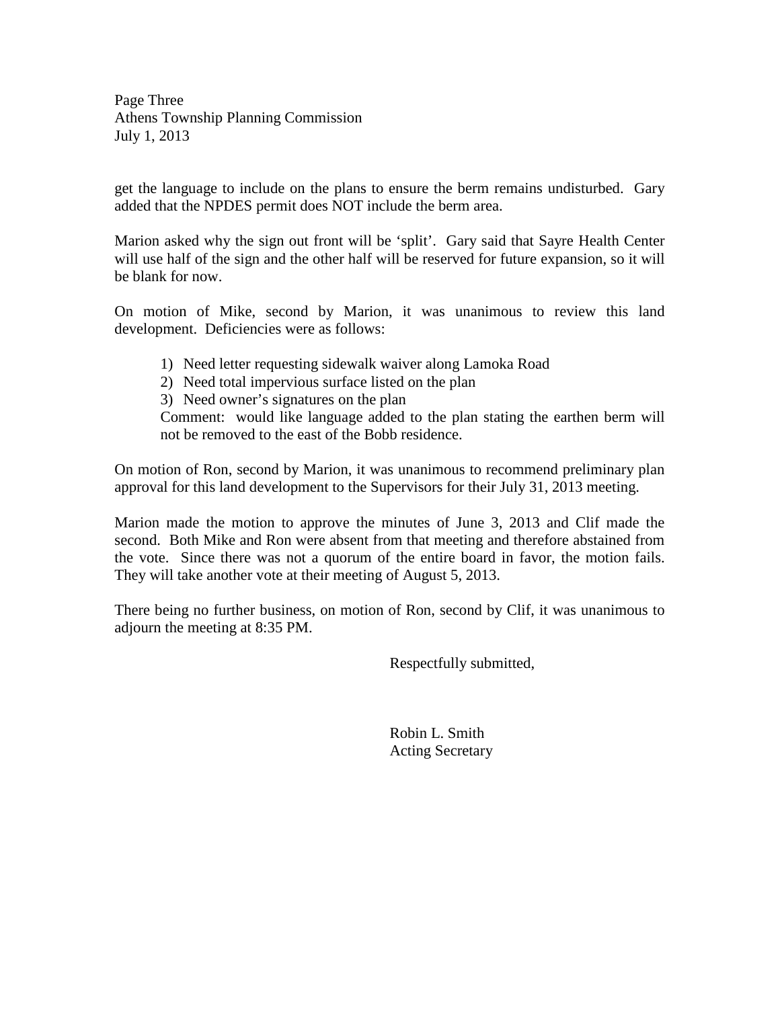Page Three Athens Township Planning Commission July 1, 2013

get the language to include on the plans to ensure the berm remains undisturbed. Gary added that the NPDES permit does NOT include the berm area.

Marion asked why the sign out front will be 'split'. Gary said that Sayre Health Center will use half of the sign and the other half will be reserved for future expansion, so it will be blank for now.

On motion of Mike, second by Marion, it was unanimous to review this land development. Deficiencies were as follows:

- 1) Need letter requesting sidewalk waiver along Lamoka Road
- 2) Need total impervious surface listed on the plan
- 3) Need owner's signatures on the plan

Comment: would like language added to the plan stating the earthen berm will not be removed to the east of the Bobb residence.

On motion of Ron, second by Marion, it was unanimous to recommend preliminary plan approval for this land development to the Supervisors for their July 31, 2013 meeting.

Marion made the motion to approve the minutes of June 3, 2013 and Clif made the second. Both Mike and Ron were absent from that meeting and therefore abstained from the vote. Since there was not a quorum of the entire board in favor, the motion fails. They will take another vote at their meeting of August 5, 2013.

There being no further business, on motion of Ron, second by Clif, it was unanimous to adjourn the meeting at 8:35 PM.

Respectfully submitted,

 Robin L. Smith Acting Secretary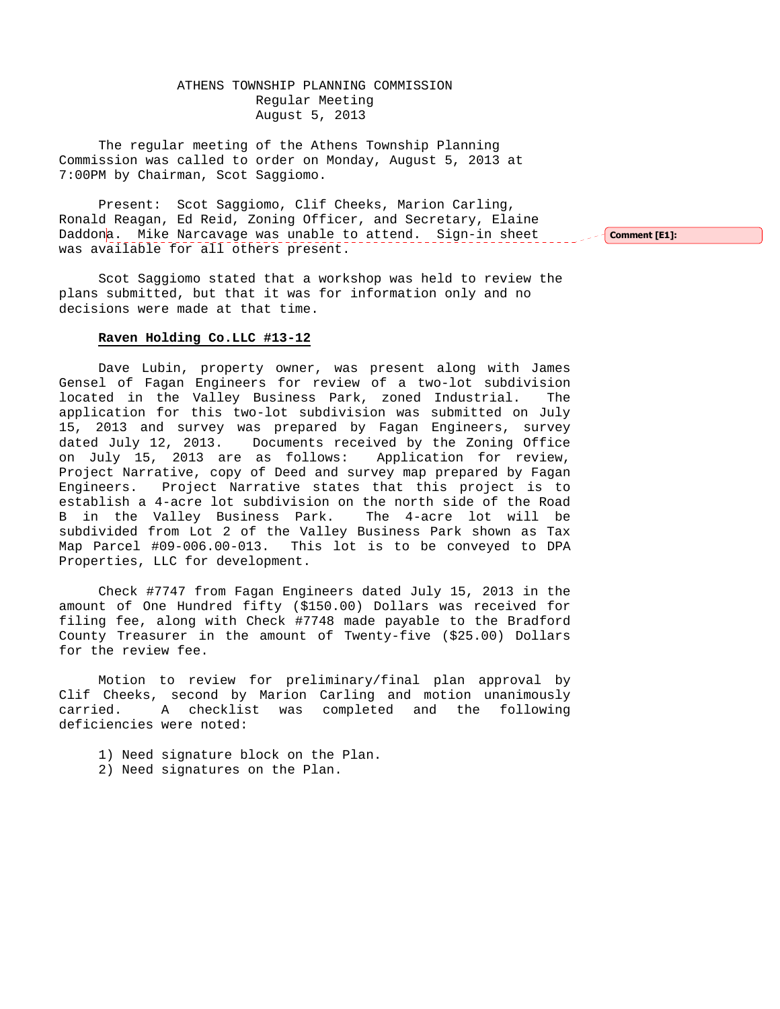# ATHENS TOWNSHIP PLANNING COMMISSION Regular Meeting August 5, 2013

The regular meeting of the Athens Township Planning Commission was called to order on Monday, August 5, 2013 at 7:00PM by Chairman, Scot Saggiomo.

Present: Scot Saggiomo, Clif Cheeks, Marion Carling, Ronald Reagan, Ed Reid, Zoning Officer, and Secretary, Elaine Daddona. Mike Narcavage was unable to attend. Sign-in sheet was available for all others present.

 $\sim$  Comment [E1]:

Scot Saggiomo stated that a workshop was held to review the plans submitted, but that it was for information only and no decisions were made at that time.

#### **Raven Holding Co.LLC #13-12**

 Dave Lubin, property owner, was present along with James Gensel of Fagan Engineers for review of a two-lot subdivision located in the Valley Business Park, zoned Industrial. The application for this two-lot subdivision was submitted on July 15, 2013 and survey was prepared by Fagan Engineers, survey dated July 12, 2013. Documents received by the Zoning Office on July 15, 2013 are as follows: Application for review, Project Narrative, copy of Deed and survey map prepared by Fagan Engineers. Project Narrative states that this project is to establish a 4-acre lot subdivision on the north side of the Road B in the Valley Business Park. The 4-acre lot will be subdivided from Lot 2 of the Valley Business Park shown as Tax Map Parcel #09-006.00-013. This lot is to be conveyed to DPA Properties, LLC for development.

 Check #7747 from Fagan Engineers dated July 15, 2013 in the amount of One Hundred fifty (\$150.00) Dollars was received for filing fee, along with Check #7748 made payable to the Bradford County Treasurer in the amount of Twenty-five (\$25.00) Dollars for the review fee.

 Motion to review for preliminary/final plan approval by Clif Cheeks, second by Marion Carling and motion unanimously carried. A checklist was completed and the following deficiencies were noted:

- 1) Need signature block on the Plan.
- 2) Need signatures on the Plan.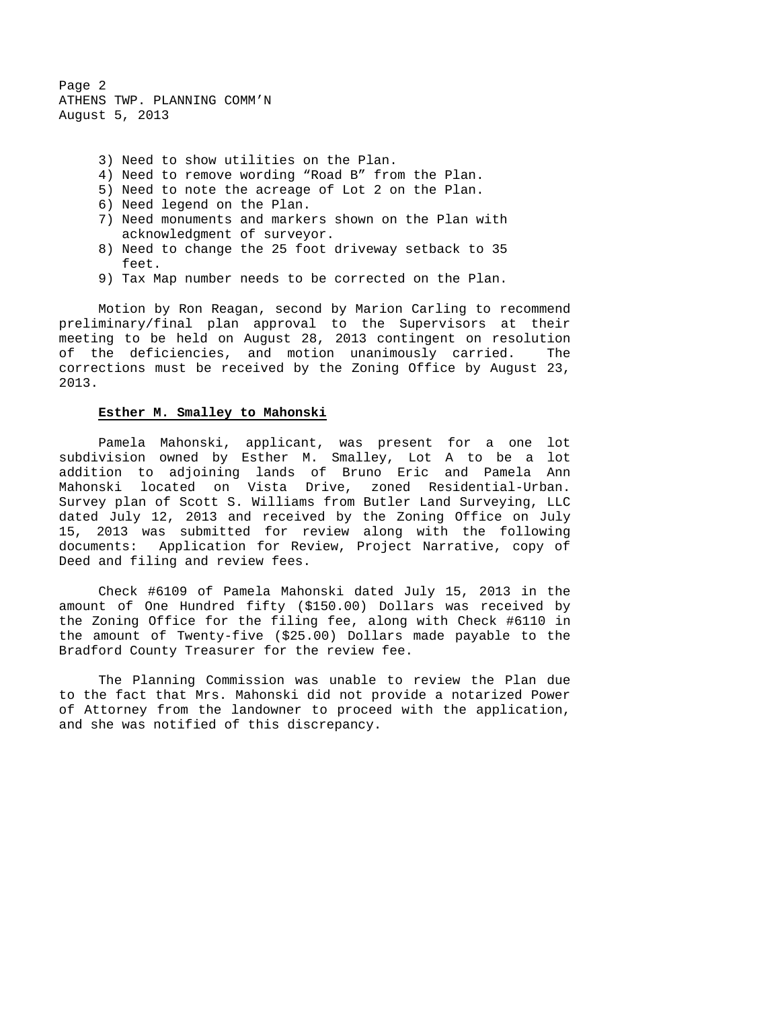Page 2 ATHENS TWP. PLANNING COMM'N August 5, 2013

- 3) Need to show utilities on the Plan.
- 4) Need to remove wording "Road B" from the Plan.
- 5) Need to note the acreage of Lot 2 on the Plan.
- 6) Need legend on the Plan.
- 7) Need monuments and markers shown on the Plan with acknowledgment of surveyor.
- 8) Need to change the 25 foot driveway setback to 35 feet.
- 9) Tax Map number needs to be corrected on the Plan.

 Motion by Ron Reagan, second by Marion Carling to recommend preliminary/final plan approval to the Supervisors at their meeting to be held on August 28, 2013 contingent on resolution of the deficiencies, and motion unanimously carried. The corrections must be received by the Zoning Office by August 23, 2013.

### **Esther M. Smalley to Mahonski**

 Pamela Mahonski, applicant, was present for a one lot subdivision owned by Esther M. Smalley, Lot A to be a lot addition to adjoining lands of Bruno Eric and Pamela Ann Mahonski located on Vista Drive, zoned Residential-Urban. Survey plan of Scott S. Williams from Butler Land Surveying, LLC dated July 12, 2013 and received by the Zoning Office on July 15, 2013 was submitted for review along with the following documents: Application for Review, Project Narrative, copy of Deed and filing and review fees.

 Check #6109 of Pamela Mahonski dated July 15, 2013 in the amount of One Hundred fifty (\$150.00) Dollars was received by the Zoning Office for the filing fee, along with Check #6110 in the amount of Twenty-five (\$25.00) Dollars made payable to the Bradford County Treasurer for the review fee.

 The Planning Commission was unable to review the Plan due to the fact that Mrs. Mahonski did not provide a notarized Power of Attorney from the landowner to proceed with the application, and she was notified of this discrepancy.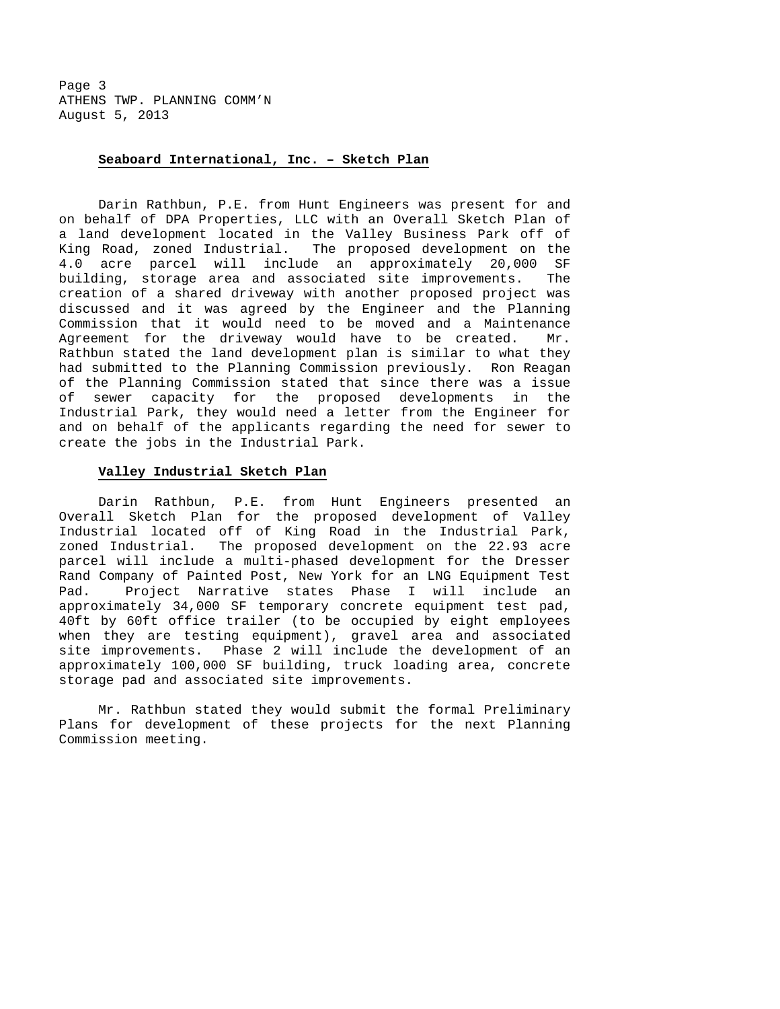Page 3 ATHENS TWP. PLANNING COMM'N August 5, 2013

#### **Seaboard International, Inc. – Sketch Plan**

 Darin Rathbun, P.E. from Hunt Engineers was present for and on behalf of DPA Properties, LLC with an Overall Sketch Plan of a land development located in the Valley Business Park off of King Road, zoned Industrial. The proposed development on the 4.0 acre parcel will include an approximately 20,000 SF building, storage area and associated site improvements. The creation of a shared driveway with another proposed project was discussed and it was agreed by the Engineer and the Planning Commission that it would need to be moved and a Maintenance Agreement for the driveway would have to be created. Mr. Rathbun stated the land development plan is similar to what they had submitted to the Planning Commission previously. Ron Reagan of the Planning Commission stated that since there was a issue of sewer capacity for the proposed developments in the Industrial Park, they would need a letter from the Engineer for and on behalf of the applicants regarding the need for sewer to create the jobs in the Industrial Park.

### **Valley Industrial Sketch Plan**

 Darin Rathbun, P.E. from Hunt Engineers presented an Overall Sketch Plan for the proposed development of Valley Industrial located off of King Road in the Industrial Park, zoned Industrial. The proposed development on the 22.93 acre parcel will include a multi-phased development for the Dresser Rand Company of Painted Post, New York for an LNG Equipment Test Pad. Project Narrative states Phase I will include an approximately 34,000 SF temporary concrete equipment test pad, 40ft by 60ft office trailer (to be occupied by eight employees when they are testing equipment), gravel area and associated site improvements. Phase 2 will include the development of an approximately 100,000 SF building, truck loading area, concrete storage pad and associated site improvements.

 Mr. Rathbun stated they would submit the formal Preliminary Plans for development of these projects for the next Planning Commission meeting.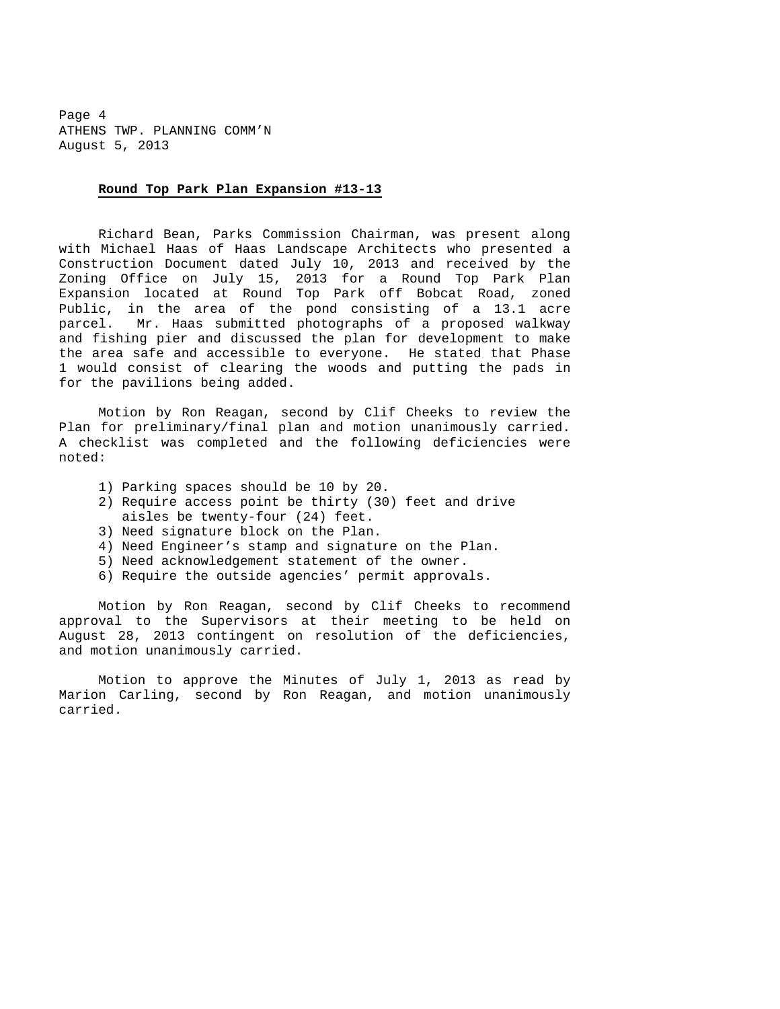Page 4 ATHENS TWP. PLANNING COMM'N August 5, 2013

#### **Round Top Park Plan Expansion #13-13**

 Richard Bean, Parks Commission Chairman, was present along with Michael Haas of Haas Landscape Architects who presented a Construction Document dated July 10, 2013 and received by the Zoning Office on July 15, 2013 for a Round Top Park Plan Expansion located at Round Top Park off Bobcat Road, zoned Public, in the area of the pond consisting of a 13.1 acre parcel. Mr. Haas submitted photographs of a proposed walkway and fishing pier and discussed the plan for development to make the area safe and accessible to everyone. He stated that Phase 1 would consist of clearing the woods and putting the pads in for the pavilions being added.

 Motion by Ron Reagan, second by Clif Cheeks to review the Plan for preliminary/final plan and motion unanimously carried. A checklist was completed and the following deficiencies were noted:

- 1) Parking spaces should be 10 by 20.
- 2) Require access point be thirty (30) feet and drive aisles be twenty-four (24) feet.
- 3) Need signature block on the Plan.
- 4) Need Engineer's stamp and signature on the Plan.
- 5) Need acknowledgement statement of the owner.
- 6) Require the outside agencies' permit approvals.

 Motion by Ron Reagan, second by Clif Cheeks to recommend approval to the Supervisors at their meeting to be held on August 28, 2013 contingent on resolution of the deficiencies, and motion unanimously carried.

 Motion to approve the Minutes of July 1, 2013 as read by Marion Carling, second by Ron Reagan, and motion unanimously carried.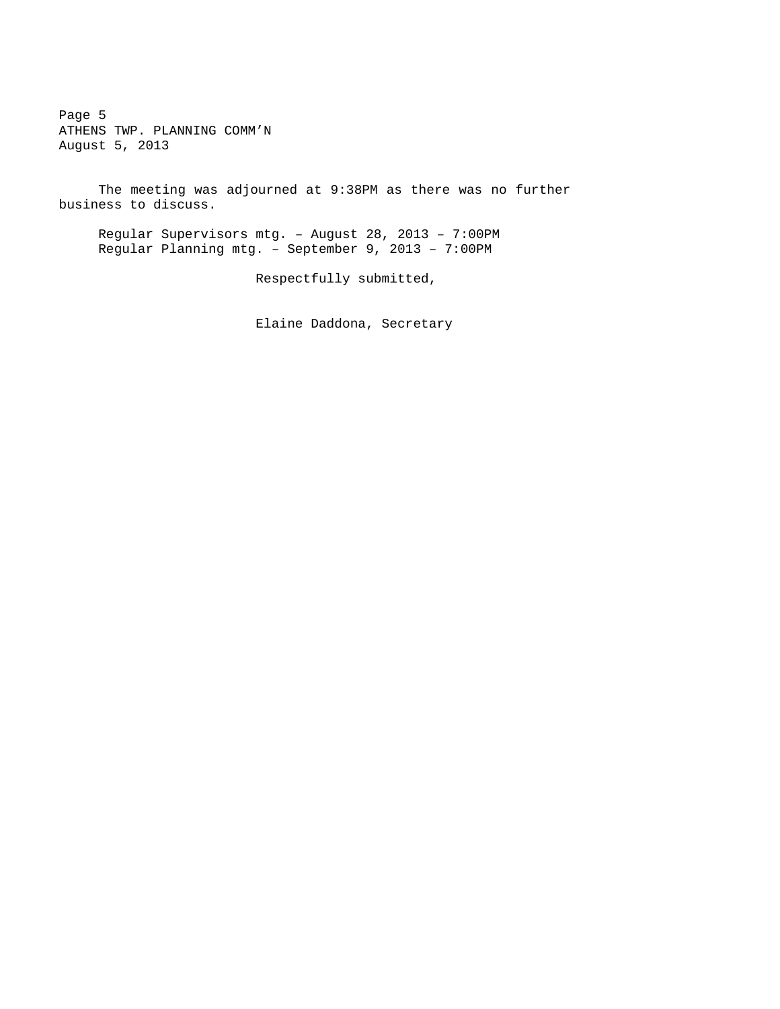Page 5 ATHENS TWP. PLANNING COMM'N August 5, 2013

 The meeting was adjourned at 9:38PM as there was no further business to discuss.

Regular Supervisors mtg. – August 28, 2013 – 7:00PM Regular Planning mtg. – September 9, 2013 – 7:00PM

Respectfully submitted,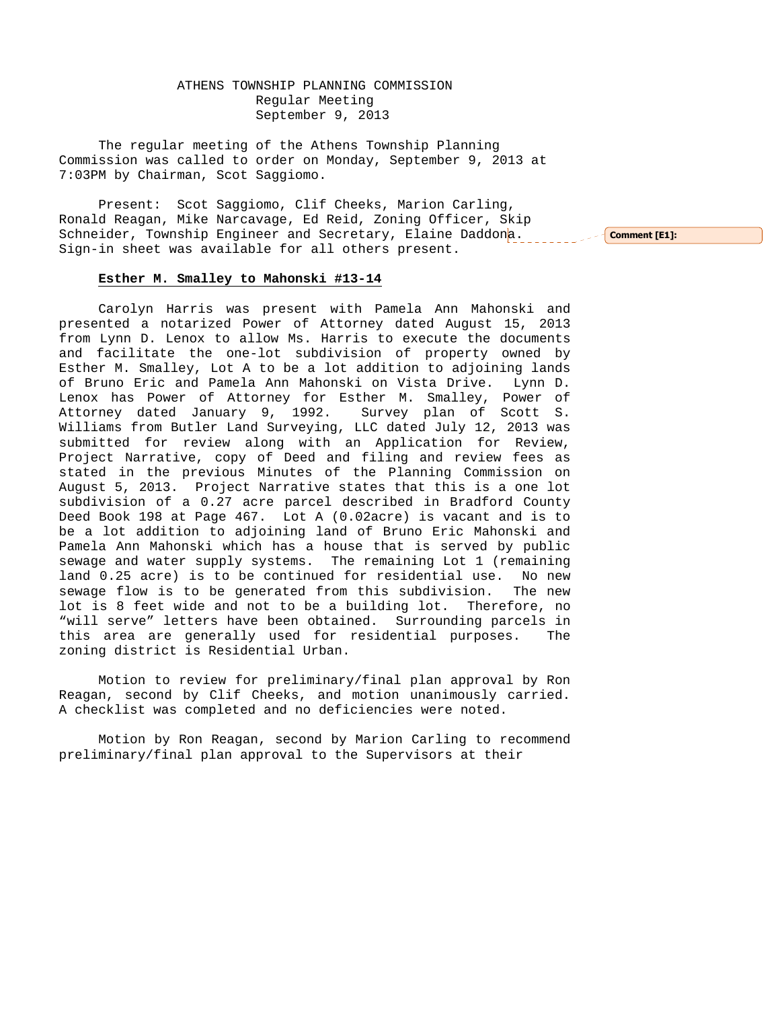ATHENS TOWNSHIP PLANNING COMMISSION Regular Meeting September 9, 2013

The regular meeting of the Athens Township Planning Commission was called to order on Monday, September 9, 2013 at 7:03PM by Chairman, Scot Saggiomo.

Present: Scot Saggiomo, Clif Cheeks, Marion Carling, Ronald Reagan, Mike Narcavage, Ed Reid, Zoning Officer, Skip Schneider, Township Engineer and Secretary, Elaine Daddona. The Comment [E1]: Sign-in sheet was available for all others present.

#### **Esther M. Smalley to Mahonski #13-14**

 Carolyn Harris was present with Pamela Ann Mahonski and presented a notarized Power of Attorney dated August 15, 2013 from Lynn D. Lenox to allow Ms. Harris to execute the documents and facilitate the one-lot subdivision of property owned by Esther M. Smalley, Lot A to be a lot addition to adjoining lands of Bruno Eric and Pamela Ann Mahonski on Vista Drive. Lynn D. Lenox has Power of Attorney for Esther M. Smalley, Power of Attorney dated January 9, 1992. Survey plan of Scott S. Williams from Butler Land Surveying, LLC dated July 12, 2013 was submitted for review along with an Application for Review, Project Narrative, copy of Deed and filing and review fees as stated in the previous Minutes of the Planning Commission on August 5, 2013. Project Narrative states that this is a one lot subdivision of a 0.27 acre parcel described in Bradford County Deed Book 198 at Page 467. Lot A (0.02acre) is vacant and is to be a lot addition to adjoining land of Bruno Eric Mahonski and Pamela Ann Mahonski which has a house that is served by public sewage and water supply systems. The remaining Lot 1 (remaining land 0.25 acre) is to be continued for residential use. No new sewage flow is to be generated from this subdivision. The new lot is 8 feet wide and not to be a building lot. Therefore, no "will serve" letters have been obtained. Surrounding parcels in this area are generally used for residential purposes. The zoning district is Residential Urban.

 Motion to review for preliminary/final plan approval by Ron Reagan, second by Clif Cheeks, and motion unanimously carried. A checklist was completed and no deficiencies were noted.

 Motion by Ron Reagan, second by Marion Carling to recommend preliminary/final plan approval to the Supervisors at their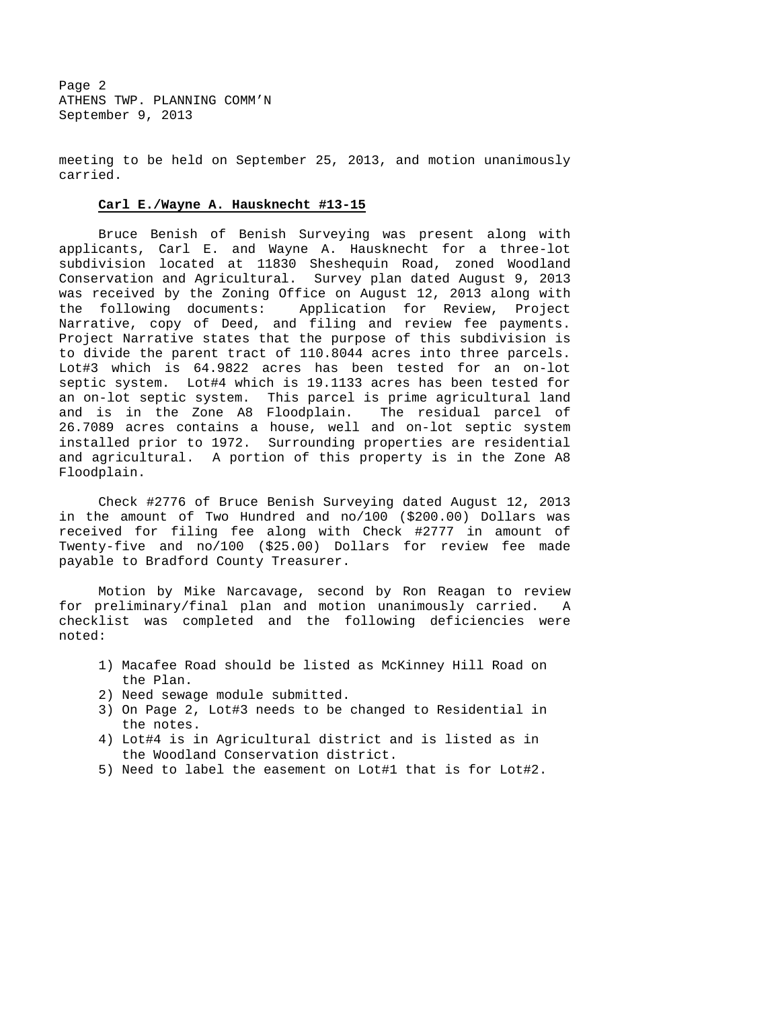Page 2 ATHENS TWP. PLANNING COMM'N September 9, 2013

meeting to be held on September 25, 2013, and motion unanimously carried.

#### **Carl E./Wayne A. Hausknecht #13-15**

 Bruce Benish of Benish Surveying was present along with applicants, Carl E. and Wayne A. Hausknecht for a three-lot subdivision located at 11830 Sheshequin Road, zoned Woodland Conservation and Agricultural. Survey plan dated August 9, 2013 was received by the Zoning Office on August 12, 2013 along with the following documents: Application for Review, Project Narrative, copy of Deed, and filing and review fee payments. Project Narrative states that the purpose of this subdivision is to divide the parent tract of 110.8044 acres into three parcels. Lot#3 which is 64.9822 acres has been tested for an on-lot septic system. Lot#4 which is 19.1133 acres has been tested for an on-lot septic system. This parcel is prime agricultural land and is in the Zone A8 Floodplain. The residual parcel of 26.7089 acres contains a house, well and on-lot septic system installed prior to 1972. Surrounding properties are residential and agricultural. A portion of this property is in the Zone A8 Floodplain.

 Check #2776 of Bruce Benish Surveying dated August 12, 2013 in the amount of Two Hundred and no/100 (\$200.00) Dollars was received for filing fee along with Check #2777 in amount of Twenty-five and no/100 (\$25.00) Dollars for review fee made payable to Bradford County Treasurer.

 Motion by Mike Narcavage, second by Ron Reagan to review for preliminary/final plan and motion unanimously carried. A checklist was completed and the following deficiencies were noted:

- 1) Macafee Road should be listed as McKinney Hill Road on the Plan.
- 2) Need sewage module submitted.
- 3) On Page 2, Lot#3 needs to be changed to Residential in the notes.
- 4) Lot#4 is in Agricultural district and is listed as in the Woodland Conservation district.
- 5) Need to label the easement on Lot#1 that is for Lot#2.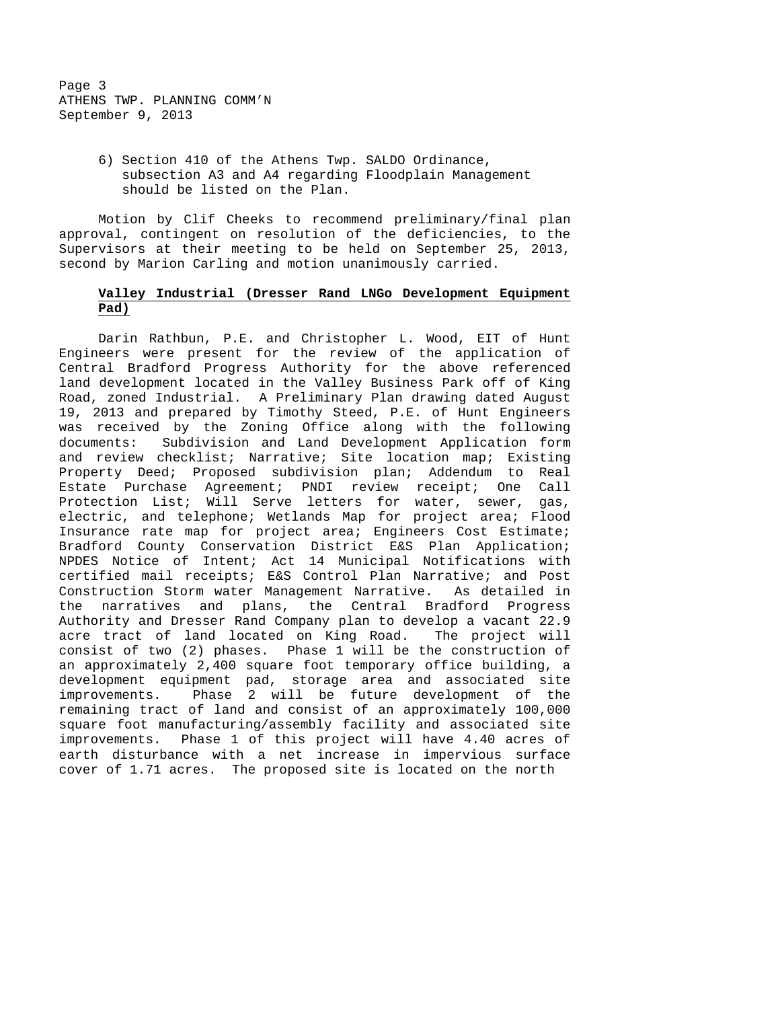6) Section 410 of the Athens Twp. SALDO Ordinance, subsection A3 and A4 regarding Floodplain Management should be listed on the Plan.

 Motion by Clif Cheeks to recommend preliminary/final plan approval, contingent on resolution of the deficiencies, to the Supervisors at their meeting to be held on September 25, 2013, second by Marion Carling and motion unanimously carried.

# **Valley Industrial (Dresser Rand LNGo Development Equipment Pad)**

 Darin Rathbun, P.E. and Christopher L. Wood, EIT of Hunt Engineers were present for the review of the application of Central Bradford Progress Authority for the above referenced land development located in the Valley Business Park off of King Road, zoned Industrial. A Preliminary Plan drawing dated August 19, 2013 and prepared by Timothy Steed, P.E. of Hunt Engineers was received by the Zoning Office along with the following documents: Subdivision and Land Development Application form and review checklist; Narrative; Site location map; Existing Property Deed; Proposed subdivision plan; Addendum to Real Estate Purchase Agreement; PNDI review receipt; One Call Protection List; Will Serve letters for water, sewer, gas, electric, and telephone; Wetlands Map for project area; Flood Insurance rate map for project area; Engineers Cost Estimate; Bradford County Conservation District E&S Plan Application; NPDES Notice of Intent; Act 14 Municipal Notifications with certified mail receipts; E&S Control Plan Narrative; and Post Construction Storm water Management Narrative. As detailed in the narratives and plans, the Central Bradford Progress Authority and Dresser Rand Company plan to develop a vacant 22.9 acre tract of land located on King Road. The project will consist of two (2) phases. Phase 1 will be the construction of an approximately  $2,400$  square foot temporary office building, a development equipment pad, storage area and associated site improvements. Phase 2 will be future development of the remaining tract of land and consist of an approximately 100,000 square foot manufacturing/assembly facility and associated site improvements. Phase 1 of this project will have 4.40 acres of earth disturbance with a net increase in impervious surface cover of 1.71 acres. The proposed site is located on the north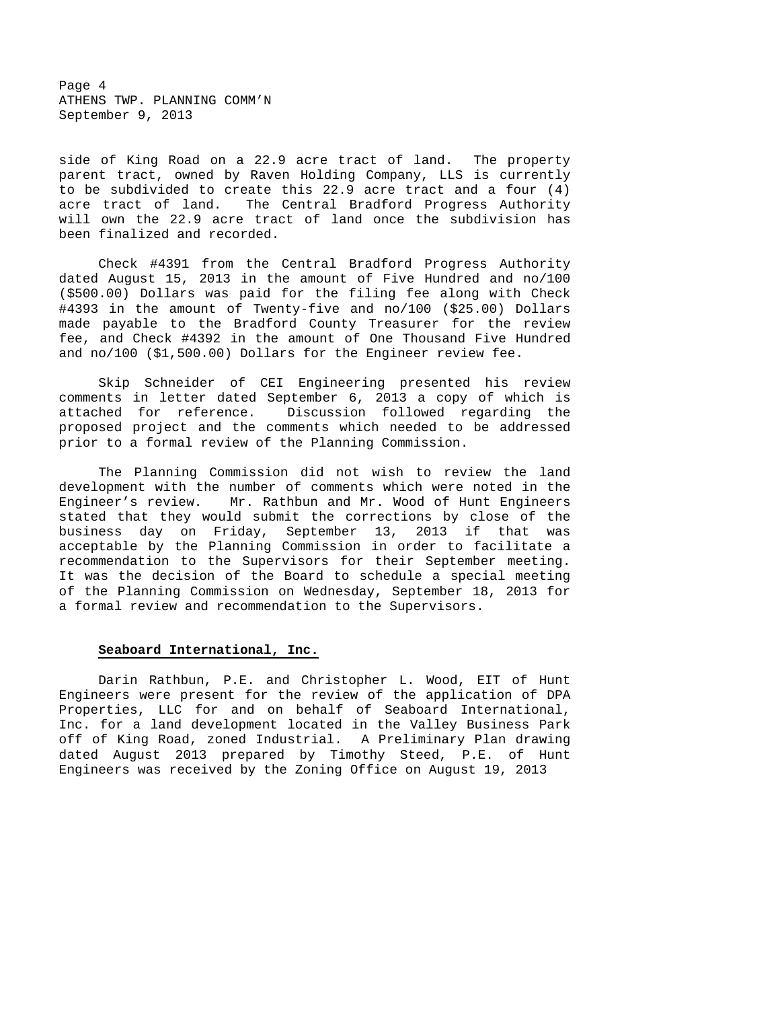Page 4 ATHENS TWP. PLANNING COMM'N September 9, 2013

side of King Road on a 22.9 acre tract of land. The property parent tract, owned by Raven Holding Company, LLS is currently to be subdivided to create this 22.9 acre tract and a four (4) acre tract of land. The Central Bradford Progress Authority will own the 22.9 acre tract of land once the subdivision has been finalized and recorded.

 Check #4391 from the Central Bradford Progress Authority dated August 15, 2013 in the amount of Five Hundred and no/100 (\$500.00) Dollars was paid for the filing fee along with Check #4393 in the amount of Twenty-five and no/100 (\$25.00) Dollars made payable to the Bradford County Treasurer for the review fee, and Check #4392 in the amount of One Thousand Five Hundred and no/100 (\$1,500.00) Dollars for the Engineer review fee.

 Skip Schneider of CEI Engineering presented his review comments in letter dated September 6, 2013 a copy of which is attached for reference. Discussion followed regarding the proposed project and the comments which needed to be addressed prior to a formal review of the Planning Commission.

 The Planning Commission did not wish to review the land development with the number of comments which were noted in the Engineer's review. Mr. Rathbun and Mr. Wood of Hunt Engineers stated that they would submit the corrections by close of the business day on Friday, September 13, 2013 if that was acceptable by the Planning Commission in order to facilitate a recommendation to the Supervisors for their September meeting. It was the decision of the Board to schedule a special meeting of the Planning Commission on Wednesday, September 18, 2013 for a formal review and recommendation to the Supervisors.

# **Seaboard International, Inc.**

 Darin Rathbun, P.E. and Christopher L. Wood, EIT of Hunt Engineers were present for the review of the application of DPA Properties, LLC for and on behalf of Seaboard International, Inc. for a land development located in the Valley Business Park off of King Road, zoned Industrial. A Preliminary Plan drawing dated August 2013 prepared by Timothy Steed, P.E. of Hunt Engineers was received by the Zoning Office on August 19, 2013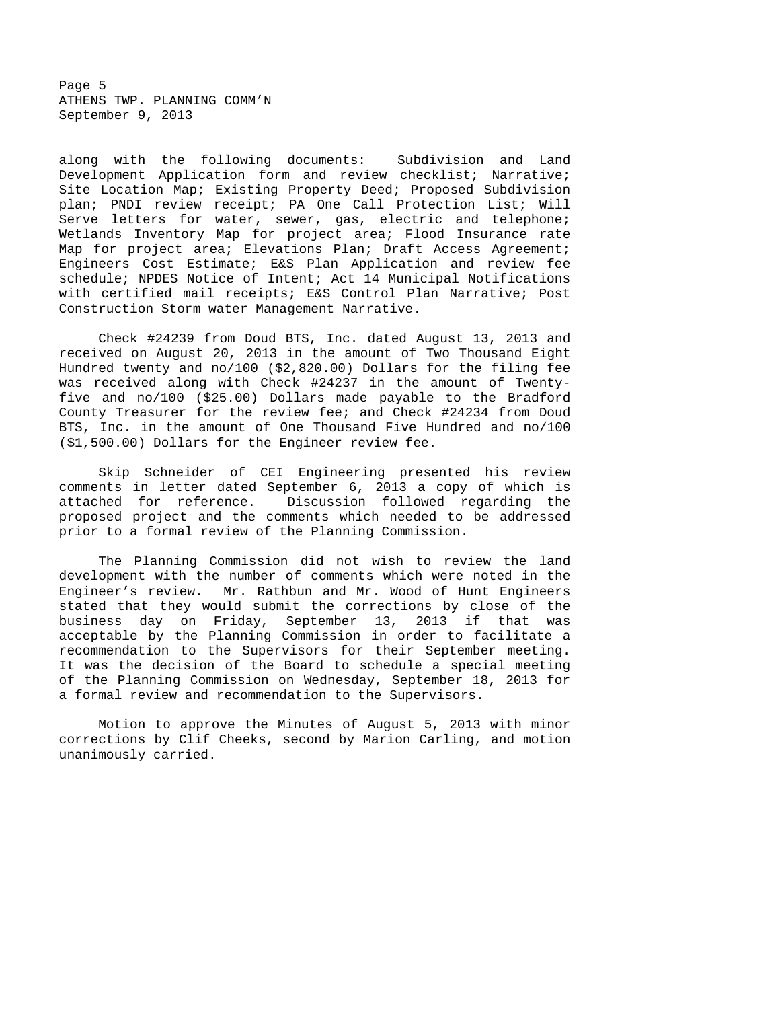Page 5 ATHENS TWP. PLANNING COMM'N September 9, 2013

along with the following documents: Subdivision and Land Development Application form and review checklist; Narrative; Site Location Map; Existing Property Deed; Proposed Subdivision plan; PNDI review receipt; PA One Call Protection List; Will Serve letters for water, sewer, gas, electric and telephone; Wetlands Inventory Map for project area; Flood Insurance rate Map for project area; Elevations Plan; Draft Access Agreement; Engineers Cost Estimate; E&S Plan Application and review fee schedule; NPDES Notice of Intent; Act 14 Municipal Notifications with certified mail receipts; E&S Control Plan Narrative; Post Construction Storm water Management Narrative.

 Check #24239 from Doud BTS, Inc. dated August 13, 2013 and received on August 20, 2013 in the amount of Two Thousand Eight Hundred twenty and no/100 (\$2,820.00) Dollars for the filing fee was received along with Check #24237 in the amount of Twentyfive and no/100 (\$25.00) Dollars made payable to the Bradford County Treasurer for the review fee; and Check #24234 from Doud BTS, Inc. in the amount of One Thousand Five Hundred and no/100 (\$1,500.00) Dollars for the Engineer review fee.

 Skip Schneider of CEI Engineering presented his review comments in letter dated September 6, 2013 a copy of which is attached for reference. Discussion followed regarding the proposed project and the comments which needed to be addressed prior to a formal review of the Planning Commission.

 The Planning Commission did not wish to review the land development with the number of comments which were noted in the Engineer's review. Mr. Rathbun and Mr. Wood of Hunt Engineers stated that they would submit the corrections by close of the business day on Friday, September 13, 2013 if that was acceptable by the Planning Commission in order to facilitate a recommendation to the Supervisors for their September meeting. It was the decision of the Board to schedule a special meeting of the Planning Commission on Wednesday, September 18, 2013 for a formal review and recommendation to the Supervisors.

 Motion to approve the Minutes of August 5, 2013 with minor corrections by Clif Cheeks, second by Marion Carling, and motion unanimously carried.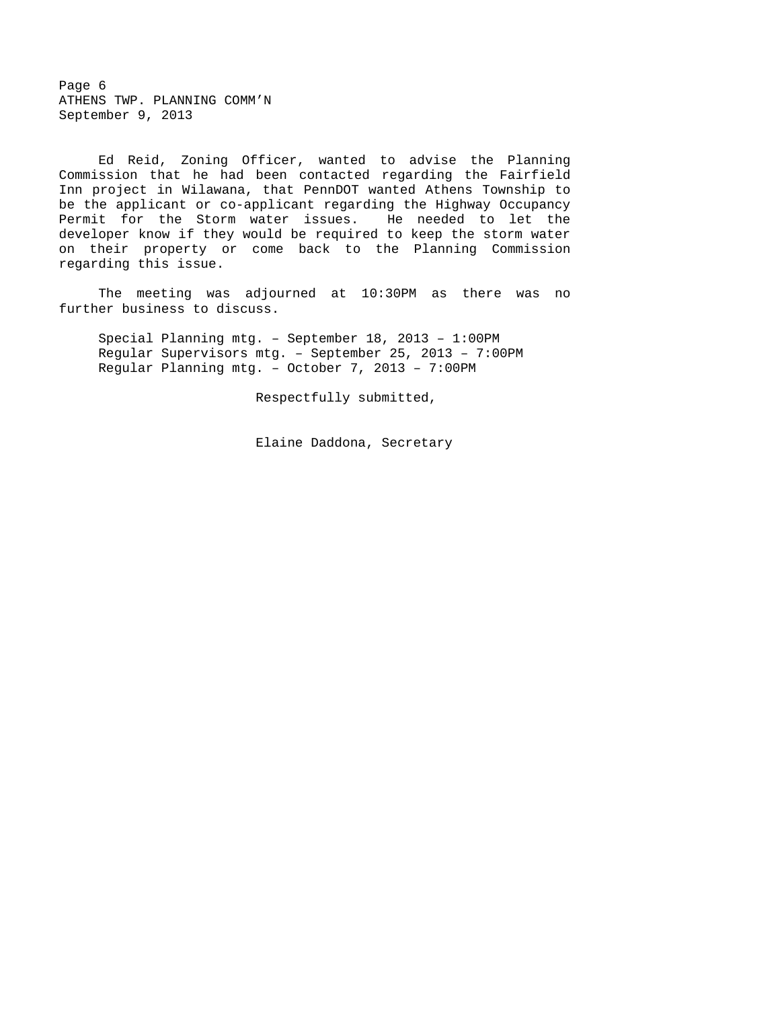Page 6 ATHENS TWP. PLANNING COMM'N September 9, 2013

 Ed Reid, Zoning Officer, wanted to advise the Planning Commission that he had been contacted regarding the Fairfield Inn project in Wilawana, that PennDOT wanted Athens Township to be the applicant or co-applicant regarding the Highway Occupancy Permit for the Storm water issues. He needed to let the developer know if they would be required to keep the storm water on their property or come back to the Planning Commission regarding this issue.

 The meeting was adjourned at 10:30PM as there was no further business to discuss.

Special Planning mtg. – September 18, 2013 – 1:00PM Regular Supervisors mtg. – September 25, 2013 – 7:00PM Regular Planning mtg. – October 7, 2013 – 7:00PM

Respectfully submitted,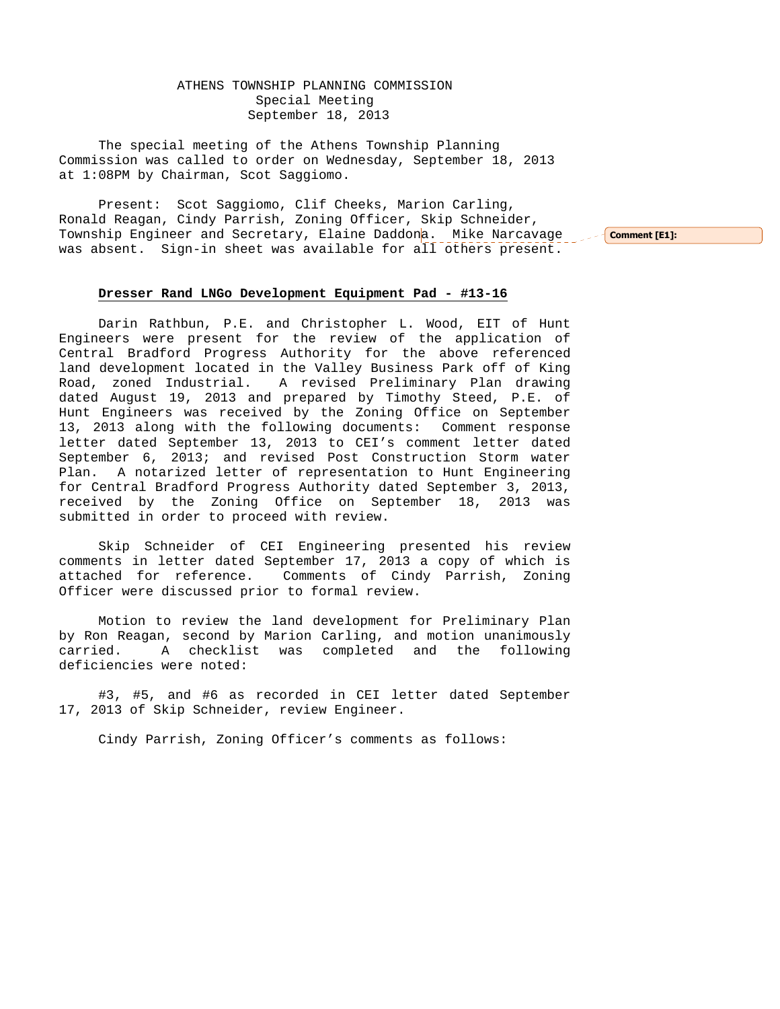ATHENS TOWNSHIP PLANNING COMMISSION Special Meeting September 18, 2013

The special meeting of the Athens Township Planning Commission was called to order on Wednesday, September 18, 2013 at 1:08PM by Chairman, Scot Saggiomo.

Present: Scot Saggiomo, Clif Cheeks, Marion Carling, Ronald Reagan, Cindy Parrish, Zoning Officer, Skip Schneider, Township Engineer and Secretary, Elaine Daddona. Mike Narcavage ser<mark>comment[E1]:</mark> was absent. Sign-in sheet was available for all others present.

## **Dresser Rand LNGo Development Equipment Pad - #13-16**

 Darin Rathbun, P.E. and Christopher L. Wood, EIT of Hunt Engineers were present for the review of the application of Central Bradford Progress Authority for the above referenced land development located in the Valley Business Park off of King Road, zoned Industrial. A revised Preliminary Plan drawing dated August 19, 2013 and prepared by Timothy Steed, P.E. of Hunt Engineers was received by the Zoning Office on September 13, 2013 along with the following documents: Comment response letter dated September 13, 2013 to CEI's comment letter dated September 6, 2013; and revised Post Construction Storm water Plan. A notarized letter of representation to Hunt Engineering for Central Bradford Progress Authority dated September 3, 2013, received by the Zoning Office on September 18, 2013 was submitted in order to proceed with review.

 Skip Schneider of CEI Engineering presented his review comments in letter dated September 17, 2013 a copy of which is attached for reference. Comments of Cindy Parrish, Zoning Officer were discussed prior to formal review.

 Motion to review the land development for Preliminary Plan by Ron Reagan, second by Marion Carling, and motion unanimously carried. A checklist was completed and the following deficiencies were noted:

 #3, #5, and #6 as recorded in CEI letter dated September 17, 2013 of Skip Schneider, review Engineer.

Cindy Parrish, Zoning Officer's comments as follows: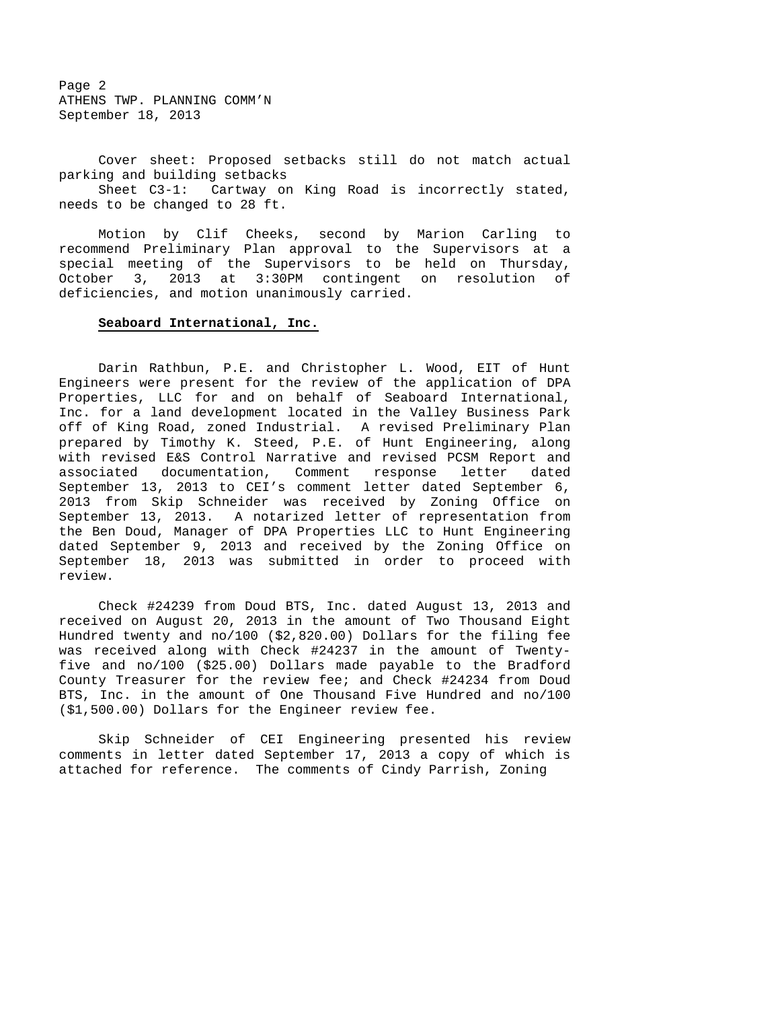Page 2 ATHENS TWP. PLANNING COMM'N September 18, 2013

 Cover sheet: Proposed setbacks still do not match actual parking and building setbacks

 Sheet C3-1: Cartway on King Road is incorrectly stated, needs to be changed to 28 ft.

 Motion by Clif Cheeks, second by Marion Carling to recommend Preliminary Plan approval to the Supervisors at a special meeting of the Supervisors to be held on Thursday, October 3, 2013 at 3:30PM contingent on resolution of deficiencies, and motion unanimously carried.

#### **Seaboard International, Inc.**

 Darin Rathbun, P.E. and Christopher L. Wood, EIT of Hunt Engineers were present for the review of the application of DPA Properties, LLC for and on behalf of Seaboard International, Inc. for a land development located in the Valley Business Park off of King Road, zoned Industrial. A revised Preliminary Plan prepared by Timothy K. Steed, P.E. of Hunt Engineering, along with revised E&S Control Narrative and revised PCSM Report and associated documentation, Comment response letter dated September 13, 2013 to CEI's comment letter dated September 6, 2013 from Skip Schneider was received by Zoning Office on September 13, 2013. A notarized letter of representation from the Ben Doud, Manager of DPA Properties LLC to Hunt Engineering dated September 9, 2013 and received by the Zoning Office on September 18, 2013 was submitted in order to proceed with review.

 Check #24239 from Doud BTS, Inc. dated August 13, 2013 and received on August 20, 2013 in the amount of Two Thousand Eight Hundred twenty and no/100 (\$2,820.00) Dollars for the filing fee was received along with Check #24237 in the amount of Twentyfive and no/100 (\$25.00) Dollars made payable to the Bradford County Treasurer for the review fee; and Check #24234 from Doud BTS, Inc. in the amount of One Thousand Five Hundred and no/100 (\$1,500.00) Dollars for the Engineer review fee.

 Skip Schneider of CEI Engineering presented his review comments in letter dated September 17, 2013 a copy of which is attached for reference. The comments of Cindy Parrish, Zoning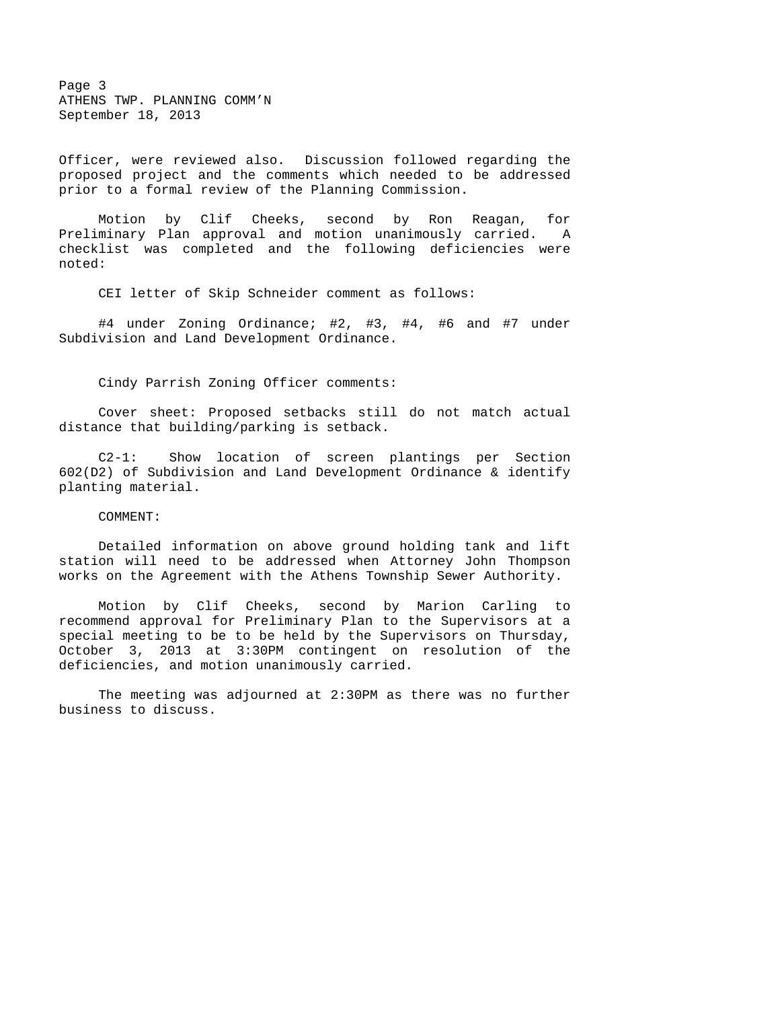Page 3 ATHENS TWP. PLANNING COMM'N September 18, 2013

Officer, were reviewed also. Discussion followed regarding the proposed project and the comments which needed to be addressed prior to a formal review of the Planning Commission.

 Motion by Clif Cheeks, second by Ron Reagan, for Preliminary Plan approval and motion unanimously carried. A checklist was completed and the following deficiencies were noted:

CEI letter of Skip Schneider comment as follows:

 #4 under Zoning Ordinance; #2, #3, #4, #6 and #7 under Subdivision and Land Development Ordinance.

Cindy Parrish Zoning Officer comments:

 Cover sheet: Proposed setbacks still do not match actual distance that building/parking is setback.

 C2-1: Show location of screen plantings per Section 602(D2) of Subdivision and Land Development Ordinance & identify planting material.

COMMENT:

 Detailed information on above ground holding tank and lift station will need to be addressed when Attorney John Thompson works on the Agreement with the Athens Township Sewer Authority.

 Motion by Clif Cheeks, second by Marion Carling to recommend approval for Preliminary Plan to the Supervisors at a special meeting to be to be held by the Supervisors on Thursday, October 3, 2013 at 3:30PM contingent on resolution of the deficiencies, and motion unanimously carried.

 The meeting was adjourned at 2:30PM as there was no further business to discuss.